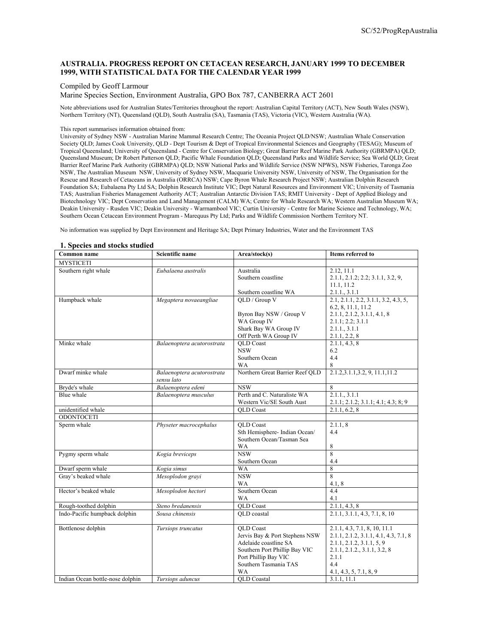# **AUSTRALIA. PROGRESS REPORT ON CETACEAN RESEARCH, JANUARY 1999 TO DECEMBER 1999, WITH STATISTICAL DATA FOR THE CALENDAR YEAR 1999**

#### Compiled by Geoff Larmour

Marine Species Section, Environment Australia, GPO Box 787, CANBERRA ACT 2601

Note abbreviations used for Australian States/Territories throughout the report: Australian Capital Territory (ACT), New South Wales (NSW), Northern Territory (NT), Queensland (QLD), South Australia (SA), Tasmania (TAS), Victoria (VIC), Western Australia (WA).

#### This report summarises information obtained from:

University of Sydney NSW - Australian Marine Mammal Research Centre; The Oceania Project QLD/NSW; Australian Whale Conservation Society QLD; James Cook University, QLD - Dept Tourism & Dept of Tropical Environmental Sciences and Geography (TESAG); Museum of Tropical Queensland; University of Queensland - Centre for Conservation Biology; Great Barrier Reef Marine Park Authority (GBRMPA) QLD; Queensland Museum; Dr Robert Patterson QLD; Pacific Whale Foundation QLD; Queensland Parks and Wildlife Service; Sea World QLD; Great Barrier Reef Marine Park Authority (GBRMPA) QLD; NSW National Parks and Wildlife Service (NSW NPWS), NSW Fisheries, Taronga Zoo NSW, The Australian Museum NSW, University of Sydney NSW, Macquarie University NSW, University of NSW, The Organisation for the Rescue and Research of Cetaceans in Australia (ORRCA) NSW; Cape Byron Whale Research Project NSW; Australian Dolphin Research Foundation SA; Eubalaena Pty Ltd SA; Dolphin Research Institute VIC; Dept Natural Resources and Environment VIC; University of Tasmania TAS; Australian Fisheries Management Authority ACT; Australian Antarctic Division TAS; RMIT University - Dept of Applied Biology and Biotechnology VIC; Dept Conservation and Land Management (CALM) WA; Centre for Whale Research WA; Western Australian Museum WA; Deakin University - Rusden VIC; Deakin University - Warrnambool VIC; Curtin University - Centre for Marine Science and Technology, WA; Southern Ocean Cetacean Environment Program - Marequus Pty Ltd; Parks and Wildlife Commission Northern Territory NT.

No information was supplied by Dept Environment and Heritage SA; Dept Primary Industries, Water and the Environment TAS

#### **1. Species and stocks studied Common Life is a Common Scientific Life in the Scientific Life is a Common Life in the Science of the Scientific Area/stock(s) MYSTICETI** Southern right whale *Eubalaena australis* Australia Southern coastline Southern coastline WA 2.12, 11.1 2.1.1, 2.1.2; 2.2; 3.1.1, 3.2, 9, 11.1, 11.2 2.1.1., 3.1.1 Humpback whale *Megaptera novaeangliae* QLD / Group V Byron Bay NSW / Group V WA Group IV Shark Bay WA Group IV Off Perth WA Group IV<br>QLD Coast  $2.1, 2.1.1, 2.2, 3.1.1, 3.2, 4.3, 5,$ 6.2, 8, 11.1, 11.2 2.1.1, 2.1.2, 3.1.1, 4.1, 8 2.1.1; 2.2; 3.1.1 2.1.1., 3.1.1 2.1.1, 2.2, 8 Minke whale **Balaenoptera acutorostrata** NSW Southern Ocean WA 2.1.1, 4.3, 8 6.2 4.4 8 Dwarf minke whale *Balaenoptera acutorostrata sensu lato*  Northern Great Barrier Reef QLD 2.1.2,3.1.1,3.2, 9, 11.1,11.2 Bryde's whale *Balaenoptera edeni* NSW 8 Blue whale *Balaenoptera musculus* Perth and C. Naturaliste WA Western Vic/SE South Aust 2.1.1., 3.1.1 2.1.1; 2.1.2; 3.1.1; 4.1; 4.3; 8; 9 unidentified whale  $\qquad \qquad$  QLD Coast 2.1.1, 6.2, 8 **ODONTOCETI Sperm whale** *Physeter macrocephalus QLD Coast* Sth Hemisphere- Indian Ocean/ Southern Ocean/Tasman Sea WA 2.1.1, 8 4.4 8 Pygmy sperm whale *Kogia breviceps* NSW Southern Ocean<br>WA 8 4.4 Dwarf sperm whale *Kogia simus* **WA** 8 Gray's beaked whale *Mesoplodon grayi* NSW WA 8 4.1, 8 Hector's beaked whale *Mesoplodon hectori* Southern Ocean WA<br>QLD Coast 4.4 4.1 Rough-toothed dolphin *Steno bredanensis* QLD Coast 2.1.1, 4.3, 8<br>
Indo-Pacific humpback dolphin *Sousa chinensis* QLD coastal 2.1.1, 3.1.1, 4.3, 7.1, 8, 10 Indo-Pacific humpback dolphin *Sousa chinensis* Bottlenose dolphin *Tursiops truncatus* QLD Coast Jervis Bay & Port Stephens NSW Adelaide coastline SA Southern Port Phillip Bay VIC Port Phillip Bay VIC Southern Tasmania TAS WA 2.1.1, 4.3, 7.1, 8, 10, 11.1 2.1.1, 2.1.2, 3.1.1, 4.1, 4.3, 7.1, 8 2.1.1, 2.1.2, 3.1.1, 5, 9 2.1.1, 2.1.2., 3.1.1, 3.2, 8 2.1.1 4.4 4.1, 4.3, 5, 7.1, 8, 9

Indian Ocean bottle-nose dolphin *Tursiops aduncus* QLD Coastal 3.1.1, 11.1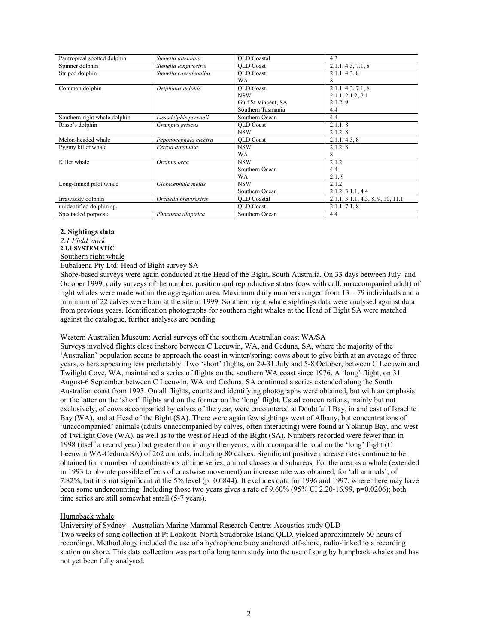| Pantropical spotted dolphin  | Stenella attenuata    | <b>OLD</b> Coastal  | 4.3                               |
|------------------------------|-----------------------|---------------------|-----------------------------------|
| Spinner dolphin              | Stenella longirostris | <b>OLD</b> Coast    | 2.1.1, 4.3, 7.1, 8                |
| Striped dolphin              | Stenella caeruleoalba | <b>OLD</b> Coast    | 2.1.1, 4.3, 8                     |
|                              |                       | <b>WA</b>           | 8                                 |
| Common dolphin               | Delphinus delphis     | <b>OLD</b> Coast    | 2.1.1, 4.3, 7.1, 8                |
|                              |                       | <b>NSW</b>          | 2.1.1, 2.1.2, 7.1                 |
|                              |                       | Gulf St Vincent, SA | 2.1.2.9                           |
|                              |                       | Southern Tasmania   | 4.4                               |
| Southern right whale dolphin | Lissodelphis perronii | Southern Ocean      | 4.4                               |
| Risso's dolphin              | Grampus griseus       | <b>OLD</b> Coast    | 2.1.1, 8                          |
|                              |                       | <b>NSW</b>          | 2.1.2, 8                          |
| Melon-headed whale           | Peponocephala electra | <b>OLD</b> Coast    | 2.1.1, 4.3, 8                     |
| Pygmy killer whale           | Feresa attenuata      | <b>NSW</b>          | 2.1.2.8                           |
|                              |                       | <b>WA</b>           | 8                                 |
| Killer whale                 | Orcinus orca          | <b>NSW</b>          | 2.1.2                             |
|                              |                       | Southern Ocean      | 4.4                               |
|                              |                       | WA                  | 2.1, 9                            |
| Long-finned pilot whale      | Globicephala melas    | <b>NSW</b>          | 2.1.2                             |
|                              |                       | Southern Ocean      | 2.1.2, 3.1.1, 4.4                 |
| Irrawaddy dolphin            | Orcaella brevirostris | <b>OLD</b> Coastal  | 2.1.1, 3.1.1, 4.3, 8, 9, 10, 11.1 |
| unidentified dolphin sp.     |                       | <b>OLD</b> Coast    | 2.1.1, 7.1, 8                     |
| Spectacled porpoise          | Phocoena dioptrica    | Southern Ocean      | 4.4                               |

#### **2. Sightings data**

*2.1 Field work* 

**2.1.1 SYSTEMATIC** 

Southern right whale

Eubalaena Pty Ltd: Head of Bight survey SA

Shore-based surveys were again conducted at the Head of the Bight, South Australia. On 33 days between July and October 1999, daily surveys of the number, position and reproductive status (cow with calf, unaccompanied adult) of right whales were made within the aggregation area. Maximum daily numbers ranged from 13 – 79 individuals and a minimum of 22 calves were born at the site in 1999. Southern right whale sightings data were analysed against data from previous years. Identification photographs for southern right whales at the Head of Bight SA were matched against the catalogue, further analyses are pending.

#### Western Australian Museum: Aerial surveys off the southern Australian coast WA/SA

Surveys involved flights close inshore between C Leeuwin, WA, and Ceduna, SA, where the majority of the 'Australian' population seems to approach the coast in winter/spring: cows about to give birth at an average of three years, others appearing less predictably. Two 'short' flights, on 29-31 July and 5-8 October, between C Leeuwin and Twilight Cove, WA, maintained a series of flights on the southern WA coast since 1976. A 'long' flight, on 31 August-6 September between C Leeuwin, WA and Ceduna, SA continued a series extended along the South Australian coast from 1993. On all flights, counts and identifying photographs were obtained, but with an emphasis on the latter on the 'short' flights and on the former on the 'long' flight. Usual concentrations, mainly but not exclusively, of cows accompanied by calves of the year, were encountered at Doubtful I Bay, in and east of Israelite Bay (WA), and at Head of the Bight (SA). There were again few sightings west of Albany, but concentrations of 'unaccompanied' animals (adults unaccompanied by calves, often interacting) were found at Yokinup Bay, and west of Twilight Cove (WA), as well as to the west of Head of the Bight (SA). Numbers recorded were fewer than in 1998 (itself a record year) but greater than in any other years, with a comparable total on the 'long' flight (C Leeuwin WA-Ceduna SA) of 262 animals, including 80 calves. Significant positive increase rates continue to be obtained for a number of combinations of time series, animal classes and subareas. For the area as a whole (extended in 1993 to obviate possible effects of coastwise movement) an increase rate was obtained, for 'all animals', of 7.82%, but it is not significant at the 5% level (p=0.0844). It excludes data for 1996 and 1997, where there may have been some undercounting. Including those two years gives a rate of 9.60% (95% CI 2.20-16.99, p=0.0206); both time series are still somewhat small (5-7 years).

## Humpback whale

University of Sydney - Australian Marine Mammal Research Centre: Acoustics study QLD Two weeks of song collection at Pt Lookout, North Stradbroke Island QLD, yielded approximately 60 hours of recordings. Methodology included the use of a hydrophone buoy anchored off-shore, radio-linked to a recording station on shore. This data collection was part of a long term study into the use of song by humpback whales and has not yet been fully analysed.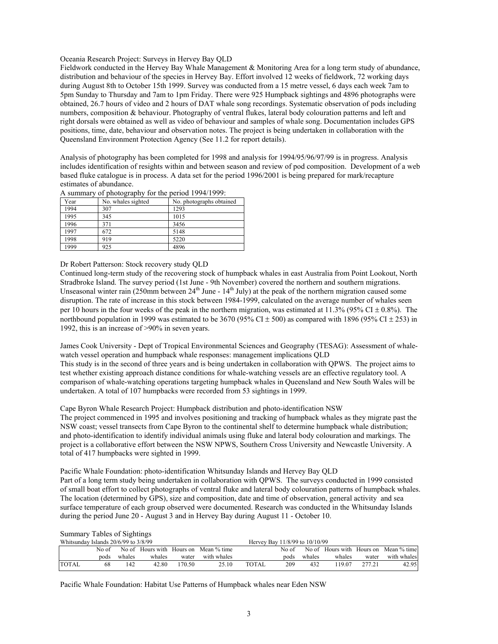#### Oceania Research Project: Surveys in Hervey Bay QLD

Fieldwork conducted in the Hervey Bay Whale Management & Monitoring Area for a long term study of abundance, distribution and behaviour of the species in Hervey Bay. Effort involved 12 weeks of fieldwork, 72 working days during August 8th to October 15th 1999. Survey was conducted from a 15 metre vessel, 6 days each week 7am to 5pm Sunday to Thursday and 7am to 1pm Friday. There were 925 Humpback sightings and 4896 photographs were obtained, 26.7 hours of video and 2 hours of DAT whale song recordings. Systematic observation of pods including numbers, composition & behaviour. Photography of ventral flukes, lateral body colouration patterns and left and right dorsals were obtained as well as video of behaviour and samples of whale song. Documentation includes GPS positions, time, date, behaviour and observation notes. The project is being undertaken in collaboration with the Queensland Environment Protection Agency (See 11.2 for report details).

Analysis of photography has been completed for 1998 and analysis for 1994/95/96/97/99 is in progress. Analysis includes identification of resights within and between season and review of pod composition. Development of a web based fluke catalogue is in process. A data set for the period 1996/2001 is being prepared for mark/recapture estimates of abundance.

| Year | No. whales sighted | No. photographs obtained |
|------|--------------------|--------------------------|
| 1994 | 307                | 1293                     |
| 1995 | 345                | 1015                     |
| 1996 | 371                | 3456                     |
| 1997 | 672                | 5148                     |
| 1998 | 919                | 5220                     |
| 1999 | 925                | 4896                     |

A summary of photography for the period 1994/1999:

Dr Robert Patterson: Stock recovery study QLD

Continued long-term study of the recovering stock of humpback whales in east Australia from Point Lookout, North Stradbroke Island. The survey period (1st June - 9th November) covered the northern and southern migrations. Unseasonal winter rain (250mm between 24<sup>th</sup> June -  $14<sup>th</sup>$  July) at the peak of the northern migration caused some disruption. The rate of increase in this stock between 1984-1999, calculated on the average number of whales seen per 10 hours in the four weeks of the peak in the northern migration, was estimated at  $11.3\%$  (95% CI  $\pm$  0.8%). The northbound population in 1999 was estimated to be 3670 (95% CI  $\pm$  500) as compared with 1896 (95% CI  $\pm$  253) in 1992, this is an increase of >90% in seven years.

James Cook University - Dept of Tropical Environmental Sciences and Geography (TESAG): Assessment of whalewatch vessel operation and humpback whale responses: management implications QLD This study is in the second of three years and is being undertaken in collaboration with QPWS. The project aims to test whether existing approach distance conditions for whale-watching vessels are an effective regulatory tool. A comparison of whale-watching operations targeting humpback whales in Queensland and New South Wales will be undertaken. A total of 107 humpbacks were recorded from 53 sightings in 1999.

Cape Byron Whale Research Project: Humpback distribution and photo-identification NSW

The project commenced in 1995 and involves positioning and tracking of humpback whales as they migrate past the NSW coast; vessel transects from Cape Byron to the continental shelf to determine humpback whale distribution; and photo-identification to identify individual animals using fluke and lateral body colouration and markings. The project is a collaborative effort between the NSW NPWS, Southern Cross University and Newcastle University. A total of 417 humpbacks were sighted in 1999.

Pacific Whale Foundation: photo-identification Whitsunday Islands and Hervey Bay QLD

Part of a long term study being undertaken in collaboration with QPWS. The surveys conducted in 1999 consisted of small boat effort to collect photographs of ventral fluke and lateral body colouration patterns of humpback whales. The location (determined by GPS), size and composition, date and time of observation, general activity and sea surface temperature of each group observed were documented. Research was conducted in the Whitsunday Islands during the period June 20 - August 3 and in Hervey Bay during August 11 - October 10.

|  |  | <b>Summary Tables of Sightings</b> |
|--|--|------------------------------------|
|--|--|------------------------------------|

| Whitsunday Islands $20/6/99$ to $3/8/99$ |       |        |        | Hervey Bay 11/8/99 to 10/10/99 |                                       |        |       |        |        |        |                                       |
|------------------------------------------|-------|--------|--------|--------------------------------|---------------------------------------|--------|-------|--------|--------|--------|---------------------------------------|
|                                          | No of |        |        |                                | No of Hours with Hours on Mean % time |        | No of |        |        |        | No of Hours with Hours on Mean % time |
|                                          | pods  | whales | whales | water                          | with whales                           |        | pods  | whales | whales | water  | with whales                           |
| <b>TOTAL</b>                             | 68    | 142    | 42.80  | 170.50.                        | 25.10                                 | TOTAL. | 209   | 432    | 19.07  | 277.21 | 42.95                                 |

Pacific Whale Foundation: Habitat Use Patterns of Humpback whales near Eden NSW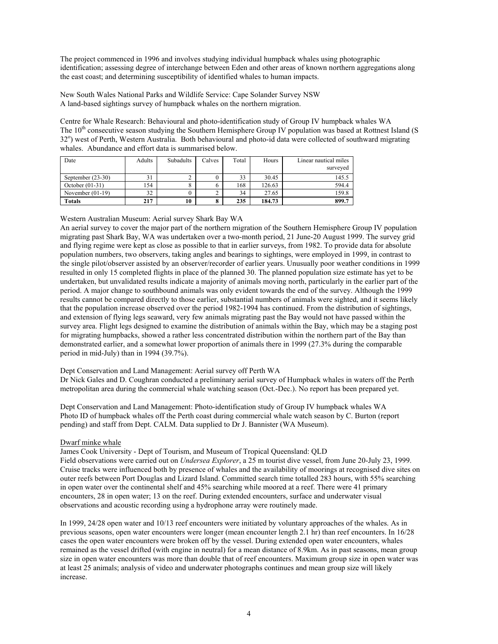The project commenced in 1996 and involves studying individual humpback whales using photographic identification; assessing degree of interchange between Eden and other areas of known northern aggregations along the east coast; and determining susceptibility of identified whales to human impacts.

New South Wales National Parks and Wildlife Service: Cape Solander Survey NSW A land-based sightings survey of humpback whales on the northern migration.

Centre for Whale Research: Behavioural and photo-identification study of Group IV humpback whales WA The 10<sup>th</sup> consecutive season studying the Southern Hemisphere Group IV population was based at Rottnest Island (S 32°) west of Perth, Western Australia. Both behavioural and photo-id data were collected of southward migrating whales. Abundance and effort data is summarised below.

| Date                | Adults | Subadults | Calves       | Total | Hours  | Linear nautical miles<br>surveyed |
|---------------------|--------|-----------|--------------|-------|--------|-----------------------------------|
|                     |        |           |              |       |        |                                   |
| September $(23-30)$ |        |           | $\mathbf{0}$ | 33    | 30.45  | 145.5                             |
| October $(01-31)$   | 154    |           | O            | 168   | 126.63 | 594.4                             |
| November $(01-19)$  | 32     |           |              | 34    | 27.65  | 159.8                             |
| <b>Totals</b>       | 217    | 10        | 8            | 235   | 184.73 | 899.7                             |

Western Australian Museum: Aerial survey Shark Bay WA

An aerial survey to cover the major part of the northern migration of the Southern Hemisphere Group IV population migrating past Shark Bay, WA was undertaken over a two-month period, 21 June-20 August 1999. The survey grid and flying regime were kept as close as possible to that in earlier surveys, from 1982. To provide data for absolute population numbers, two observers, taking angles and bearings to sightings, were employed in 1999, in contrast to the single pilot/observer assisted by an observer/recorder of earlier years. Unusually poor weather conditions in 1999 resulted in only 15 completed flights in place of the planned 30. The planned population size estimate has yet to be undertaken, but unvalidated results indicate a majority of animals moving north, particularly in the earlier part of the period. A major change to southbound animals was only evident towards the end of the survey. Although the 1999 results cannot be compared directly to those earlier, substantial numbers of animals were sighted, and it seems likely that the population increase observed over the period 1982-1994 has continued. From the distribution of sightings, and extension of flying legs seaward, very few animals migrating past the Bay would not have passed within the survey area. Flight legs designed to examine the distribution of animals within the Bay, which may be a staging post for migrating humpbacks, showed a rather less concentrated distribution within the northern part of the Bay than demonstrated earlier, and a somewhat lower proportion of animals there in 1999 (27.3% during the comparable period in mid-July) than in 1994 (39.7%).

## Dept Conservation and Land Management: Aerial survey off Perth WA

Dr Nick Gales and D. Coughran conducted a preliminary aerial survey of Humpback whales in waters off the Perth metropolitan area during the commercial whale watching season (Oct.-Dec.). No report has been prepared yet.

Dept Conservation and Land Management: Photo-identification study of Group IV humpback whales WA Photo ID of humpback whales off the Perth coast during commercial whale watch season by C. Burton (report pending) and staff from Dept. CALM. Data supplied to Dr J. Bannister (WA Museum).

## Dwarf minke whale

James Cook University - Dept of Tourism, and Museum of Tropical Queensland: QLD

Field observations were carried out on *Undersea Explorer*, a 25 m tourist dive vessel, from June 20-July 23, 1999. Cruise tracks were influenced both by presence of whales and the availability of moorings at recognised dive sites on outer reefs between Port Douglas and Lizard Island. Committed search time totalled 283 hours, with 55% searching in open water over the continental shelf and 45% searching while moored at a reef. There were 41 primary encounters, 28 in open water; 13 on the reef. During extended encounters, surface and underwater visual observations and acoustic recording using a hydrophone array were routinely made.

In 1999, 24/28 open water and 10/13 reef encounters were initiated by voluntary approaches of the whales. As in previous seasons, open water encounters were longer (mean encounter length 2.1 hr) than reef encounters. In 16/28 cases the open water encounters were broken off by the vessel. During extended open water encounters, whales remained as the vessel drifted (with engine in neutral) for a mean distance of 8.9km. As in past seasons, mean group size in open water encounters was more than double that of reef encounters. Maximum group size in open water was at least 25 animals; analysis of video and underwater photographs continues and mean group size will likely increase.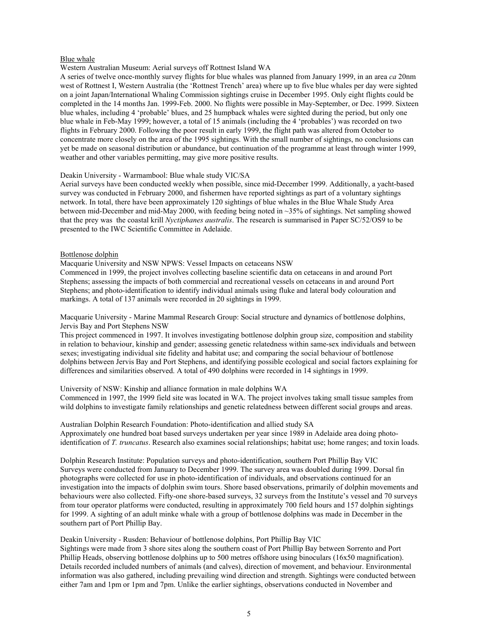#### Blue whale

## Western Australian Museum: Aerial surveys off Rottnest Island WA

A series of twelve once-monthly survey flights for blue whales was planned from January 1999, in an area *ca* 20nm west of Rottnest I, Western Australia (the 'Rottnest Trench' area) where up to five blue whales per day were sighted on a joint Japan/International Whaling Commission sightings cruise in December 1995. Only eight flights could be completed in the 14 months Jan. 1999-Feb. 2000. No flights were possible in May-September, or Dec. 1999. Sixteen blue whales, including 4 'probable' blues, and 25 humpback whales were sighted during the period, but only one blue whale in Feb-May 1999; however, a total of 15 animals (including the 4 'probables') was recorded on two flights in February 2000. Following the poor result in early 1999, the flight path was altered from October to concentrate more closely on the area of the 1995 sightings. With the small number of sightings, no conclusions can yet be made on seasonal distribution or abundance, but continuation of the programme at least through winter 1999, weather and other variables permitting, may give more positive results.

#### Deakin University - Warrnambool: Blue whale study VIC/SA

Aerial surveys have been conducted weekly when possible, since mid-December 1999. Additionally, a yacht-based survey was conducted in February 2000, and fishermen have reported sightings as part of a voluntary sightings network. In total, there have been approximately 120 sightings of blue whales in the Blue Whale Study Area between mid-December and mid-May 2000, with feeding being noted in ~35% of sightings. Net sampling showed that the prey was the coastal krill *Nyctiphanes australis*. The research is summarised in Paper SC/52/OS9 to be presented to the IWC Scientific Committee in Adelaide.

#### Bottlenose dolphin

Macquarie University and NSW NPWS: Vessel Impacts on cetaceans NSW

Commenced in 1999, the project involves collecting baseline scientific data on cetaceans in and around Port Stephens; assessing the impacts of both commercial and recreational vessels on cetaceans in and around Port Stephens; and photo-identification to identify individual animals using fluke and lateral body colouration and markings. A total of 137 animals were recorded in 20 sightings in 1999.

Macquarie University - Marine Mammal Research Group: Social structure and dynamics of bottlenose dolphins, Jervis Bay and Port Stephens NSW

This project commenced in 1997. It involves investigating bottlenose dolphin group size, composition and stability in relation to behaviour, kinship and gender; assessing genetic relatedness within same-sex individuals and between sexes; investigating individual site fidelity and habitat use; and comparing the social behaviour of bottlenose dolphins between Jervis Bay and Port Stephens, and identifying possible ecological and social factors explaining for differences and similarities observed. A total of 490 dolphins were recorded in 14 sightings in 1999.

#### University of NSW: Kinship and alliance formation in male dolphins WA

Commenced in 1997, the 1999 field site was located in WA. The project involves taking small tissue samples from wild dolphins to investigate family relationships and genetic relatedness between different social groups and areas.

Australian Dolphin Research Foundation: Photo-identification and allied study SA Approximately one hundred boat based surveys undertaken per year since 1989 in Adelaide area doing photoidentification of *T. truncatus*. Research also examines social relationships; habitat use; home ranges; and toxin loads.

Dolphin Research Institute: Population surveys and photo-identification, southern Port Phillip Bay VIC Surveys were conducted from January to December 1999. The survey area was doubled during 1999. Dorsal fin photographs were collected for use in photo-identification of individuals, and observations continued for an investigation into the impacts of dolphin swim tours. Shore based observations, primarily of dolphin movements and behaviours were also collected. Fifty-one shore-based surveys, 32 surveys from the Institute's vessel and 70 surveys from tour operator platforms were conducted, resulting in approximately 700 field hours and 157 dolphin sightings for 1999. A sighting of an adult minke whale with a group of bottlenose dolphins was made in December in the southern part of Port Phillip Bay.

#### Deakin University - Rusden: Behaviour of bottlenose dolphins, Port Phillip Bay VIC

Sightings were made from 3 shore sites along the southern coast of Port Phillip Bay between Sorrento and Port Phillip Heads, observing bottlenose dolphins up to 500 metres offshore using binoculars (16x50 magnification). Details recorded included numbers of animals (and calves), direction of movement, and behaviour. Environmental information was also gathered, including prevailing wind direction and strength. Sightings were conducted between either 7am and 1pm or 1pm and 7pm. Unlike the earlier sightings, observations conducted in November and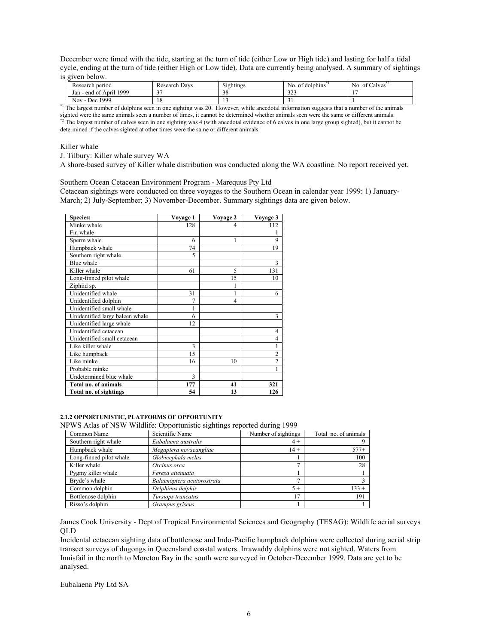December were timed with the tide, starting at the turn of tide (either Low or High tide) and lasting for half a tidal cycle, ending at the turn of tide (either High or Low tide). Data are currently being analysed. A summary of sightings is given below.

| Research period                                 | Research Davs | $\sim$ $\sim$ $\sim$<br>Sightings | $\sim$ $\sim$<br>No.<br>dolphins<br>-01 | $\sim$ $\sim$ $\sim$<br>No.<br>of Calves |
|-------------------------------------------------|---------------|-----------------------------------|-----------------------------------------|------------------------------------------|
| 1999<br>Apri<br>. - end of<br>Jan               | $\sim$        | $\sim$<br>20                      | 222<br>ر ے ر                            | $\cdot$ $\sim$                           |
| 1999<br>Nov.<br>Dec<br>$\overline{\phantom{a}}$ | 1 O<br>10     | . .                               |                                         |                                          |

<sup>\*1</sup> The largest number of dolphins seen in one sighting was 20. However, while anecdotal information suggests that a number of the animals sighted were the same animals seen a number of times, it cannot be determined whether animals seen were the same or different animals.<br><sup>\*2</sup> The largest number of calves seen in one sighting was 4 (with anecdotal evidence o determined if the calves sighted at other times were the same or different animals.

#### Killer whale

J. Tilbury: Killer whale survey WA

A shore-based survey of Killer whale distribution was conducted along the WA coastline. No report received yet.

#### Southern Ocean Cetacean Environment Program - Marequus Pty Ltd

Cetacean sightings were conducted on three voyages to the Southern Ocean in calendar year 1999: 1) January-March; 2) July-September; 3) November-December. Summary sightings data are given below.

| <b>Species:</b>                 | Voyage 1       | Voyage 2       | Voyage 3       |
|---------------------------------|----------------|----------------|----------------|
| Minke whale                     | 128            | 4              | 112            |
| Fin whale                       |                |                |                |
| Sperm whale                     | 6              | 1              | 9              |
| Humpback whale                  | 74             |                | 19             |
| Southern right whale            | 5              |                |                |
| Blue whale                      |                |                | 3              |
| Killer whale                    | 61             | 5              | 131            |
| Long-finned pilot whale         |                | 15             | 10             |
| Ziphiid sp.                     |                | 1              |                |
| Unidentified whale              | 31             | 1              | 6              |
| Unidentified dolphin            | $\overline{7}$ | $\overline{4}$ |                |
| Unidentified small whale        | 1              |                |                |
| Unidentified large baleen whale | 6              |                | 3              |
| Unidentified large whale        | 12             |                |                |
| Unidentified cetacean           |                |                | 4              |
| Unidentified small cetacean     |                |                | 4              |
| Like killer whale               | 3              |                | 1              |
| Like humpback                   | 15             |                | $\overline{2}$ |
| Like minke                      | 16             | 10             | $\overline{2}$ |
| Probable minke                  |                |                | 1              |
| Undetermined blue whale         | 3              |                |                |
| Total no. of animals            | 177            | 41             | 321            |
| Total no. of sightings          | 54             | 13             | 126            |

## **2.1.2 OPPORTUNISTIC, PLATFORMS OF OPPORTUNITY**

NPWS Atlas of NSW Wildlife: Opportunistic sightings reported during 1999

| Common Name             | Scientific Name            | Number of sightings | Total no. of animals |
|-------------------------|----------------------------|---------------------|----------------------|
| Southern right whale    | Eubalaena australis        | $4+$                |                      |
| Humpback whale          | Megaptera novaeangliae     | $14 +$              | $577+$               |
| Long-finned pilot whale | Globicephala melas         |                     | 100                  |
| Killer whale            | Orcinus orca               |                     | 28                   |
| Pygmy killer whale      | Feresa attenuata           |                     |                      |
| Bryde's whale           | Balaenoptera acutorostrata |                     |                      |
| Common dolphin          | Delphinus delphis          | $5+$                | $133 +$              |
| Bottlenose dolphin      | Tursiops truncatus         | 17                  | 191                  |
| Risso's dolphin         | Grampus griseus            |                     |                      |

James Cook University - Dept of Tropical Environmental Sciences and Geography (TESAG): Wildlife aerial surveys QLD

Incidental cetacean sighting data of bottlenose and Indo-Pacific humpback dolphins were collected during aerial strip transect surveys of dugongs in Queensland coastal waters. Irrawaddy dolphins were not sighted. Waters from Innisfail in the north to Moreton Bay in the south were surveyed in October-December 1999. Data are yet to be analysed.

Eubalaena Pty Ltd SA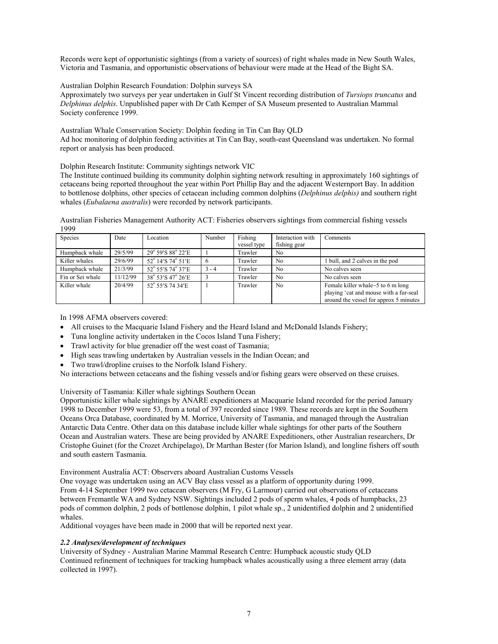Records were kept of opportunistic sightings (from a variety of sources) of right whales made in New South Wales, Victoria and Tasmania, and opportunistic observations of behaviour were made at the Head of the Bight SA.

Australian Dolphin Research Foundation: Dolphin surveys SA

Approximately two surveys per year undertaken in Gulf St Vincent recording distribution of *Tursiops truncatus* and *Delphinus delphis*. Unpublished paper with Dr Cath Kemper of SA Museum presented to Australian Mammal Society conference 1999.

Australian Whale Conservation Society: Dolphin feeding in Tin Can Bay QLD Ad hoc monitoring of dolphin feeding activities at Tin Can Bay, south-east Queensland was undertaken. No formal report or analysis has been produced.

Dolphin Research Institute: Community sightings network VIC

The Institute continued building its community dolphin sighting network resulting in approximately 160 sightings of cetaceans being reported throughout the year within Port Phillip Bay and the adjacent Westernport Bay. In addition to bottlenose dolphins, other species of cetacean including common dolphins (*Delphinus delphis)* and southern right whales (*Eubalaena australis*) were recorded by network participants.

Australian Fisheries Management Authority ACT: Fisheries observers sightings from commercial fishing vessels 1999

| Species          | Date     | Location                  | Number  | Fishing<br>vessel type | Interaction with<br>fishing gear | Comments                                                                                                              |
|------------------|----------|---------------------------|---------|------------------------|----------------------------------|-----------------------------------------------------------------------------------------------------------------------|
| Humpback whale   | 29/5/99  | 29° 59'S 88° 22'E         |         | Trawler                | N <sub>0</sub>                   |                                                                                                                       |
| Killer whales    | 29/6/99  | 52° 14'S 74° 51'E         |         | Trawler                | No                               | bull, and 2 calves in the pod                                                                                         |
| Humpback whale   | 21/3/99  | 52° 55'S 74° 37'E         | $3 - 4$ | Trawler                | N <sub>0</sub>                   | No calves seen                                                                                                        |
| Fin or Sei whale | 11/12/99 | 38° 53′ S 47° 26′ E       |         | Trawler                | No                               | No calves seen                                                                                                        |
| Killer whale     | 20/4/99  | $52^{\circ}$ 55'S 74 34'E |         | Trawler                | No                               | Female killer whale~5 to 6 m long<br>playing 'cat and mouse with a fur-seal<br>around the vessel for approx 5 minutes |

In 1998 AFMA observers covered:

- All cruises to the Macquarie Island Fishery and the Heard Island and McDonald Islands Fishery;
- Tuna longline activity undertaken in the Cocos Island Tuna Fishery;
- Trawl activity for blue grenadier off the west coast of Tasmania;
- High seas trawling undertaken by Australian vessels in the Indian Ocean; and
- Two trawl/dropline cruises to the Norfolk Island Fishery.

No interactions between cetaceans and the fishing vessels and/or fishing gears were observed on these cruises.

University of Tasmania: Killer whale sightings Southern Ocean

Opportunistic killer whale sightings by ANARE expeditioners at Macquarie Island recorded for the period January 1998 to December 1999 were 53, from a total of 397 recorded since 1989. These records are kept in the Southern Oceans Orca Database, coordinated by M. Morrice, University of Tasmania, and managed through the Australian Antarctic Data Centre. Other data on this database include killer whale sightings for other parts of the Southern Ocean and Australian waters. These are being provided by ANARE Expeditioners, other Australian researchers, Dr Cristophe Guinet (for the Crozet Archipelago), Dr Marthan Bester (for Marion Island), and longline fishers off south and south eastern Tasmania.

Environment Australia ACT: Observers aboard Australian Customs Vessels

One voyage was undertaken using an ACV Bay class vessel as a platform of opportunity during 1999. From 4-14 September 1999 two cetacean observers (M Fry, G Larmour) carried out observations of cetaceans between Fremantle WA and Sydney NSW. Sightings included 2 pods of sperm whales, 4 pods of humpbacks, 23 pods of common dolphin, 2 pods of bottlenose dolphin, 1 pilot whale sp., 2 unidentified dolphin and 2 unidentified whales.

Additional voyages have been made in 2000 that will be reported next year.

## *2.2 Analyses/development of techniques*

University of Sydney - Australian Marine Mammal Research Centre: Humpback acoustic study QLD Continued refinement of techniques for tracking humpback whales acoustically using a three element array (data collected in 1997).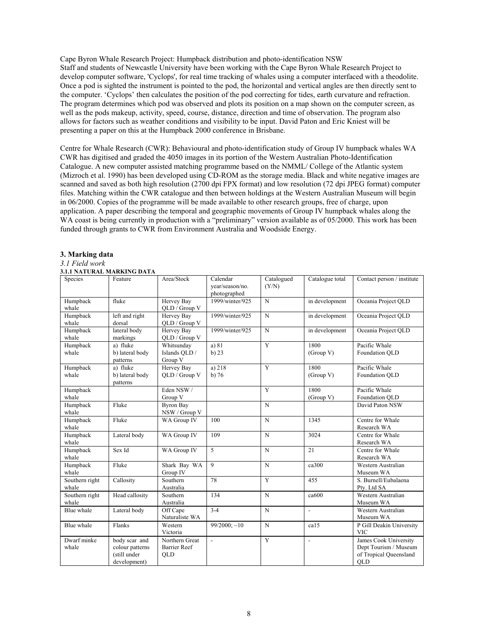Cape Byron Whale Research Project: Humpback distribution and photo-identification NSW Staff and students of Newcastle University have been working with the Cape Byron Whale Research Project to develop computer software, 'Cyclops', for real time tracking of whales using a computer interfaced with a theodolite. Once a pod is sighted the instrument is pointed to the pod, the horizontal and vertical angles are then directly sent to the computer. 'Cyclops' then calculates the position of the pod correcting for tides, earth curvature and refraction. The program determines which pod was observed and plots its position on a map shown on the computer screen, as well as the pods makeup, activity, speed, course, distance, direction and time of observation. The program also allows for factors such as weather conditions and visibility to be input. David Paton and Eric Kniest will be presenting a paper on this at the Humpback 2000 conference in Brisbane.

Centre for Whale Research (CWR): Behavioural and photo-identification study of Group IV humpback whales WA CWR has digitised and graded the 4050 images in its portion of the Western Australian Photo-Identification Catalogue. A new computer assisted matching programme based on the NMML/ College of the Atlantic system (Mizroch et al. 1990) has been developed using CD-ROM as the storage media. Black and white negative images are scanned and saved as both high resolution (2700 dpi FPX format) and low resolution (72 dpi JPEG format) computer files. Matching within the CWR catalogue and then between holdings at the Western Australian Museum will begin in 06/2000. Copies of the programme will be made available to other research groups, free of charge, upon application. A paper describing the temporal and geographic movements of Group IV humpback whales along the WA coast is being currently in production with a "preliminary" version available as of 05/2000. This work has been funded through grants to CWR from Environment Australia and Woodside Energy.

#### **3. Marking data**

# *3.1 Field work*

#### **3.1.1 NATURAL MARKING DATA**

| Species                 | Feature                                                          | Area/Stock                                          | Calendar<br>year/season/no.<br>photographed | Catalogued<br>(Y/N) | Catalogue total          | Contact person / institute                                                      |
|-------------------------|------------------------------------------------------------------|-----------------------------------------------------|---------------------------------------------|---------------------|--------------------------|---------------------------------------------------------------------------------|
| Humpback<br>whale       | fluke                                                            | Hervey Bay<br>QLD / Group V                         | 1999/winter/925                             | N                   | in development           | Oceania Project QLD                                                             |
| Humpback<br>whale       | left and right<br>dorsal                                         | Hervey Bay<br>QLD / Group V                         | 1999/winter/925                             | N                   | in development           | Oceania Project QLD                                                             |
| Humpback<br>whale       | lateral body<br>markings                                         | Hervey Bay<br>QLD / Group V                         | 1999/winter/925                             | N                   | in development           | Oceania Project QLD                                                             |
| Humpback<br>whale       | a) fluke<br>b) lateral body<br>patterns                          | Whitsunday<br>Islands QLD /<br>Group V              | a) 81<br>$b)$ 23                            | Y                   | 1800<br>(Group V)        | Pacific Whale<br>Foundation OLD                                                 |
| Humpback<br>whale       | a) fluke<br>b) lateral body<br>patterns                          | Hervey Bay<br>OLD / Group V                         | a) $218$<br>$b)$ 76                         | $\overline{Y}$      | 1800<br>(Group V)        | Pacific Whale<br>Foundation OLD                                                 |
| Humpback<br>whale       |                                                                  | Eden NSW /<br>Group V                               |                                             | $\overline{Y}$      | 1800<br>(Group V)        | Pacific Whale<br>Foundation QLD                                                 |
| Humpback<br>whale       | Fluke                                                            | <b>Byron Bay</b><br>NSW / Group V                   |                                             | N                   |                          | David Paton NSW                                                                 |
| Humpback<br>whale       | Fluke                                                            | WA Group IV                                         | 100                                         | N                   | 1345                     | Centre for Whale<br>Research WA                                                 |
| Humpback<br>whale       | Lateral body                                                     | WA Group IV                                         | 109                                         | N                   | 3024                     | Centre for Whale<br>Research WA                                                 |
| Humpback<br>whale       | Sex Id                                                           | WA Group IV                                         | 5                                           | N                   | 21                       | Centre for Whale<br>Research WA                                                 |
| Humpback<br>whale       | Fluke                                                            | Shark Bay WA<br>Group IV                            | $\mathbf{Q}$                                | N                   | ca300                    | Western Australian<br>Museum WA                                                 |
| Southern right<br>whale | Callosity                                                        | Southern<br>Australia                               | 78                                          | Y                   | 455                      | S. Burnell/Eubalaena<br>Ptv. Ltd SA                                             |
| Southern right<br>whale | Head callosity                                                   | Southern<br>Australia                               | 134                                         | N                   | ca600                    | Western Australian<br>Museum WA                                                 |
| Blue whale              | Lateral body                                                     | Off Cape<br>Naturaliste WA                          | $3 - 4$                                     | N                   | $\overline{\phantom{a}}$ | Western Australian<br>Museum WA                                                 |
| Blue whale              | Flanks                                                           | Western<br>Victoria                                 | $99/2000$ ; ~10                             | N                   | ca15                     | P Gill Deakin University<br><b>VIC</b>                                          |
| Dwarf minke<br>whale    | body scar and<br>colour patterns<br>(still under<br>development) | Northern Great<br><b>Barrier Reef</b><br><b>OLD</b> | $\overline{a}$                              | Y                   | $\overline{\phantom{a}}$ | James Cook University<br>Dept Tourism / Museum<br>of Tropical Queensland<br>QLD |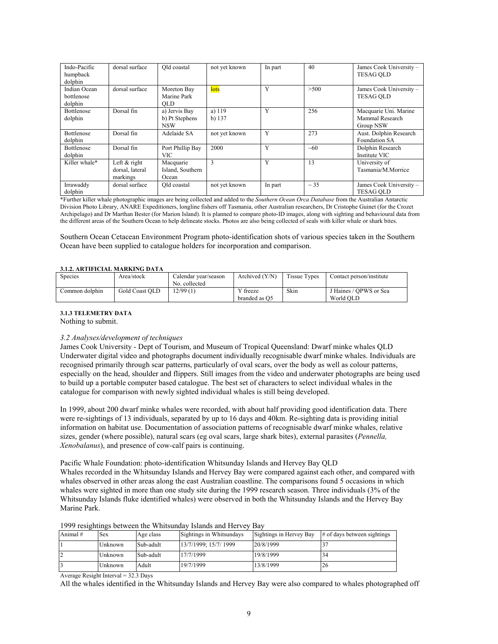| Indo-Pacific<br>humpback<br>dolphin   | dorsal surface                                | Old coastal                                   | not yet known      | In part | 40        | James Cook University -<br><b>TESAG OLD</b>           |
|---------------------------------------|-----------------------------------------------|-----------------------------------------------|--------------------|---------|-----------|-------------------------------------------------------|
| Indian Ocean<br>bottlenose<br>dolphin | dorsal surface                                | Moreton Bay<br>Marine Park<br><b>OLD</b>      | lots               | Y       | >500      | James Cook University -<br><b>TESAG OLD</b>           |
| <b>Bottlenose</b><br>dolphin          | Dorsal fin                                    | a) Jervis Bay<br>b) Pt Stephens<br><b>NSW</b> | a) 119<br>b) $137$ | Y       | 256       | Macquarie Uni. Marine<br>Mammal Research<br>Group NSW |
| <b>Bottlenose</b><br>dolphin          | Dorsal fin                                    | Adelaide SA                                   | not yet known      | Y       | 273       | Aust. Dolphin Research<br>Foundation SA               |
| Bottlenose<br>dolphin                 | Dorsal fin                                    | Port Phillip Bay<br>VIC.                      | 2000               | Y       | ~100      | Dolphin Research<br>Institute VIC                     |
| Killer whale*                         | Left $&$ right<br>dorsal, lateral<br>markings | Macquarie<br>Island, Southern<br>Ocean        | 3                  | Y       | 13        | University of<br>Tasmania/M.Morrice                   |
| Irrawaddy<br>dolphin                  | dorsal surface                                | Old coastal                                   | not yet known      | In part | $\sim$ 35 | James Cook University -<br><b>TESAG OLD</b>           |

\*Further killer whale photographic images are being collected and added to the *Southern Ocean Orca Database* from the Australian Antarctic Division Photo Library, ANARE Expeditioners, longline fishers off Tasmania, other Australian researchers, Dr Cristophe Guinet (for the Crozet Archipelago) and Dr Marthan Bester (for Marion Island). It is planned to compare photo-ID images, along with sighting and behavioural data from the different areas of the Southern Ocean to help delineate stocks. Photos are also being collected of seals with killer whale or shark bites.

Southern Ocean Cetacean Environment Program photo-identification shots of various species taken in the Southern Ocean have been supplied to catalogue holders for incorporation and comparison.

#### **3.1.2. ARTIFICIAL MARKING DATA**

| Species        | Area/stock     | Calendar vear/season<br>No. collected | Archived $(Y/N)$          | <b>Tissue Types</b> | Contact person/institute            |  |  |  |
|----------------|----------------|---------------------------------------|---------------------------|---------------------|-------------------------------------|--|--|--|
| Common dolphin | Gold Coast OLD | 12/99(1)                              | Y freeze<br>branded as O5 | Skin                | J Haines / OPWS or Sea<br>World OLD |  |  |  |

#### **3.1.3 TELEMETRY DATA**

Nothing to submit.

#### *3.2 Analyses/development of techniques*

James Cook University - Dept of Tourism, and Museum of Tropical Queensland: Dwarf minke whales QLD Underwater digital video and photographs document individually recognisable dwarf minke whales. Individuals are recognised primarily through scar patterns, particularly of oval scars, over the body as well as colour patterns, especially on the head, shoulder and flippers. Still images from the video and underwater photographs are being used to build up a portable computer based catalogue. The best set of characters to select individual whales in the catalogue for comparison with newly sighted individual whales is still being developed.

In 1999, about 200 dwarf minke whales were recorded, with about half providing good identification data. There were re-sightings of 13 individuals, separated by up to 16 days and 40km. Re-sighting data is providing initial information on habitat use. Documentation of association patterns of recognisable dwarf minke whales, relative sizes, gender (where possible), natural scars (eg oval scars, large shark bites), external parasites (*Pennella, Xenobalanus*), and presence of cow-calf pairs is continuing.

Pacific Whale Foundation: photo-identification Whitsunday Islands and Hervey Bay QLD

Whales recorded in the Whitsunday Islands and Hervey Bay were compared against each other, and compared with whales observed in other areas along the east Australian coastline. The comparisons found 5 occasions in which whales were sighted in more than one study site during the 1999 research season. Three individuals (3% of the Whitsunday Islands fluke identified whales) were observed in both the Whitsunday Islands and the Hervey Bay Marine Park.

| Animal# | Sex     | Age class | Sightings in Whitsundays | Sightings in Hervey Bay | $\#$ of days between sightings |
|---------|---------|-----------|--------------------------|-------------------------|--------------------------------|
|         | Unknown | Sub-adult | 13/7/1999; 15/7/ 1999    | 20/8/1999               |                                |
| └       | Unknown | Sub-adult | 17/7/1999                | 19/8/1999               | 34                             |
|         | Unknown | Adult     | 19/7/1999                | 13/8/1999               | 26                             |

1999 resightings between the Whitsunday Islands and Hervey Bay

Average Resight Interval = 32.3 Days

All the whales identified in the Whitsunday Islands and Hervey Bay were also compared to whales photographed off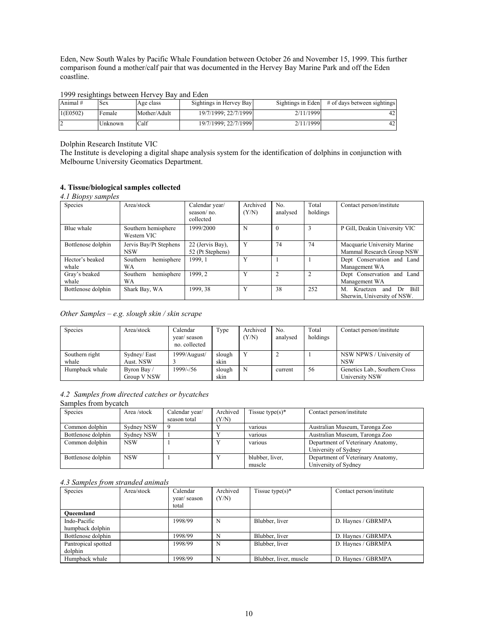Eden, New South Wales by Pacific Whale Foundation between October 26 and November 15, 1999. This further comparison found a mother/calf pair that was documented in the Hervey Bay Marine Park and off the Eden coastline.

#### 1999 resightings between Hervey Bay and Eden

| Animal#  | <b>Sex</b> | Age class    | Sightings in Hervey Bay |           | Sightings in Eden $\#$ of days between sightings |
|----------|------------|--------------|-------------------------|-----------|--------------------------------------------------|
| 1(E0502) | Female     | Mother/Adult | 19/7/1999: 22/7/1999    | 2/11/1999 | 42                                               |
|          | Unknown    | Calf         | 19/7/1999: 22/7/1999    | 2/11/1999 | 42                                               |

Dolphin Research Institute VIC

The Institute is developing a digital shape analysis system for the identification of dolphins in conjunction with Melbourne University Geomatics Department.

## **4. Tissue/biological samples collected**

| 4.1 Biopsy samples       |                                      |                                           |                   |                 |                   |                                                                    |
|--------------------------|--------------------------------------|-------------------------------------------|-------------------|-----------------|-------------------|--------------------------------------------------------------------|
| Species                  | Area/stock                           | Calendar year/<br>season/no.<br>collected | Archived<br>(Y/N) | No.<br>analysed | Total<br>holdings | Contact person/institute                                           |
| Blue whale               | Southern hemisphere<br>Western VIC   | 1999/2000                                 | N                 | $\theta$        | 3                 | P Gill, Deakin University VIC                                      |
| Bottlenose dolphin       | Jervis Bay/Pt Stephens<br><b>NSW</b> | 22 (Jervis Bay).<br>52 (Pt Stephens)      | Y                 | 74              | 74                | Macquarie University Marine<br>Mammal Research Group NSW           |
| Hector's beaked<br>whale | hemisphere<br>Southern<br>WA         | 1999.1                                    | Y                 |                 |                   | Dept Conservation and Land<br>Management WA                        |
| Gray's beaked<br>whale   | hemisphere<br>Southern<br>WA         | 1999.2                                    | Y                 | $\overline{c}$  | $\overline{c}$    | Dept Conservation and Land<br>Management WA                        |
| Bottlenose dolphin       | Shark Bay, WA                        | 1999, 38                                  | Y                 | 38              | 252               | Bill<br>M.<br>Kruetzen<br>Dr<br>and<br>Sherwin, University of NSW. |

*Other Samples – e.g. slough skin / skin scrape*

| Species                 | Area/stock                 | Calendar<br>year/season<br>no. collected | Type           | Archived<br>(Y/N) | No.<br>analysed | Total<br>holdings | Contact person/institute                        |
|-------------------------|----------------------------|------------------------------------------|----------------|-------------------|-----------------|-------------------|-------------------------------------------------|
| Southern right<br>whale | Sydney/East<br>Aust. NSW   | 1999/August/                             | slough<br>skin |                   |                 |                   | NSW NPWS / University of<br><b>NSW</b>          |
| Humpback whale          | Byron Bay /<br>Group V NSW | 1999/-/56                                | slough<br>skin | N                 | current         | 56                | Genetics Lab., Southern Cross<br>University NSW |

# *4.2 Samples from directed catches or bycatches*

Samples from bycatch

| Species            | Area /stock | Calendar year/ | Archived | Tissue type $(s)^*$       | Contact person/institute                                  |
|--------------------|-------------|----------------|----------|---------------------------|-----------------------------------------------------------|
|                    |             | season total   | Y/N      |                           |                                                           |
| Common dolphin     | Sydney NSW  | -9             |          | various                   | Australian Museum, Taronga Zoo                            |
| Bottlenose dolphin | Sydney NSW  |                |          | various                   | Australian Museum, Taronga Zoo                            |
| Common dolphin     | <b>NSW</b>  |                | Y        | various                   | Department of Veterinary Anatomy,<br>University of Sydney |
| Bottlenose dolphin | <b>NSW</b>  |                | Y        | blubber, liver,<br>muscle | Department of Veterinary Anatomy,<br>University of Sydney |

#### *4.3 Samples from stranded animals*

| Species             | Area/stock | Calendar<br>year/season<br>total | Archived<br>(Y/N) | Tissue type(s) $*$     | Contact person/institute |
|---------------------|------------|----------------------------------|-------------------|------------------------|--------------------------|
| Oueensland          |            |                                  |                   |                        |                          |
| Indo-Pacific        |            | 1998/99                          | N                 | Blubber, liver         | D. Haynes / GBRMPA       |
| humpback dolphin    |            |                                  |                   |                        |                          |
| Bottlenose dolphin  |            | 1998/99                          | N                 | Blubber, liver         | D. Haynes / GBRMPA       |
| Pantropical spotted |            | 1998/99                          | N                 | Blubber, liver         | D. Haynes / GBRMPA       |
| dolphin             |            |                                  |                   |                        |                          |
| Humpback whale      |            | 1998/99                          | N                 | Blubber, liver, muscle | D. Haynes / GBRMPA       |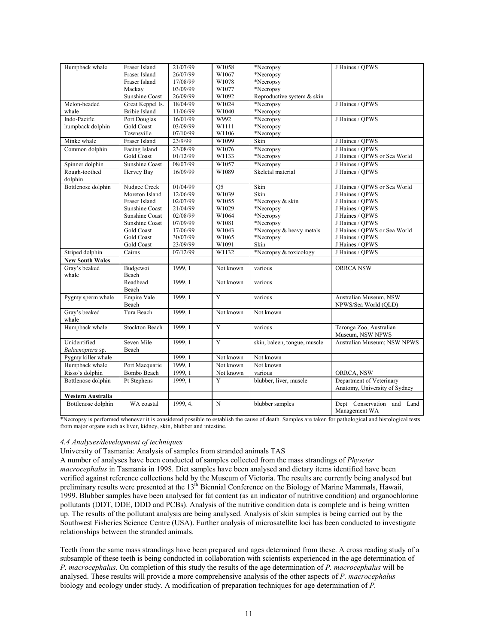| Humpback whale         | Fraser Island         | 21/07/99 | W1058     | *Necropsy                    | J Haines / OPWS                                |
|------------------------|-----------------------|----------|-----------|------------------------------|------------------------------------------------|
|                        | Fraser Island         | 26/07/99 | W1067     | *Necropsy                    |                                                |
|                        | Fraser Island         | 17/08/99 | W1078     | *Necropsy                    |                                                |
|                        | Mackay                | 03/09/99 | W1077     | *Necropsy                    |                                                |
|                        | Sunshine Coast        | 26/09/99 | W1092     | Reproductive system & skin   |                                                |
| Melon-headed           | Great Keppel Is.      | 18/04/99 | W1024     | *Necropsy                    | J Haines / QPWS                                |
| whale                  | <b>Bribie Island</b>  | 11/06/99 | W1040     | *Necropsy                    |                                                |
| Indo-Pacific           | Port Douglas          | 16/01/99 | W992      | *Necropsy                    | J Haines / OPWS                                |
| humpback dolphin       | Gold Coast            | 03/09/99 | W1111     | *Necropsy                    |                                                |
|                        | Townsville            | 07/10/99 | W1106     | *Necropsy                    |                                                |
| Minke whale            | Fraser Island         | 23/9/99  | W1099     | Skin                         | J Haines / QPWS                                |
| Common dolphin         | Facing Island         | 23/08/99 | W1076     | *Necropsy                    | J Haines / OPWS                                |
|                        | <b>Gold Coast</b>     | 01/12/99 | W1133     | *Necropsy                    | J Haines / OPWS or Sea World                   |
| Spinner dolphin        | <b>Sunshine Coast</b> | 08/07/99 | W1057     | *Necropsy                    | J Haines / OPWS                                |
| Rough-toothed          | Hervey Bay            | 16/09/99 | W1089     | Skeletal material            | J Haines / OPWS                                |
| dolphin                |                       |          |           |                              |                                                |
| Bottlenose dolphin     | Nudgee Creek          | 01/04/99 | Q5        | Skin                         | J Haines / OPWS or Sea World                   |
|                        | Moreton Island        | 12/06/99 | W1039     | Skin                         | J Haines / OPWS                                |
|                        | Fraser Island         | 02/07/99 | W1055     | *Necropsy & skin             | J Haines / QPWS                                |
|                        | Sunshine Coast        | 21/04/99 | W1029     | *Necropsy                    | J Haines / OPWS                                |
|                        | Sunshine Coast        | 02/08/99 | W1064     | *Necropsy                    | J Haines / OPWS                                |
|                        | Sunshine Coast        | 07/09/99 | W1081     | *Necropsy                    | J Haines / OPWS                                |
|                        | <b>Gold Coast</b>     | 17/06/99 | W1043     | *Necropsy & heavy metals     | J Haines / OPWS or Sea World                   |
|                        | <b>Gold Coast</b>     | 30/07/99 | W1065     | *Necropsy                    | J Haines / QPWS                                |
|                        | Gold Coast            | 23/09/99 | W1091     | Skin                         | J Haines / QPWS                                |
| Striped dolphin        | Cairns                | 07/12/99 | W1132     | *Necropsy & toxicology       | J Haines / OPWS                                |
| <b>New South Wales</b> |                       |          |           |                              |                                                |
| Gray's beaked          | Budgewoi              | 1999, 1  | Not known | various                      | <b>ORRCA NSW</b>                               |
| whale                  | Beach                 |          |           |                              |                                                |
|                        | Readhead              | 1999, 1  | Not known | various                      |                                                |
|                        | Beach                 |          |           |                              |                                                |
| Pygmy sperm whale      | Empire Vale           | 1999, 1  | Y         | various                      | Australian Museum, NSW                         |
|                        | Beach                 |          |           |                              | NPWS/Sea World (OLD)                           |
| Gray's beaked<br>whale | Tura Beach            | 1999, 1  | Not known | Not known                    |                                                |
| Humpback whale         | <b>Stockton Beach</b> | 1999, 1  | Y         | various                      | Taronga Zoo, Australian                        |
|                        |                       |          |           |                              | Museum, NSW NPWS                               |
| Unidentified           | Seven Mile            | 1999, 1  | Y         | skin, baleen, tongue, muscle | Australian Museum; NSW NPWS                    |
| Balaenoptera sp.       | Beach                 |          |           |                              |                                                |
| Pygmy killer whale     |                       | 1999, 1  | Not known | Not known                    |                                                |
| Humpback whale         | Port Macquarie        | 1999, 1  | Not known | Not known                    |                                                |
| Risso's dolphin        | Bombo Beach           | 1999, 1  | Not known | various                      | ORRCA, NSW                                     |
| Bottlenose dolphin     | Pt Stephens           | 1999, 1  | Y         | blubber, liver, muscle       | Department of Veterinary                       |
|                        |                       |          |           |                              | Anatomy, University of Sydney                  |
| Western Australia      |                       |          |           |                              |                                                |
| Bottlenose dolphin     | WA coastal            | 1999.4.  | N         | blubber samples              | Dept Conservation and<br>Land<br>Management WA |

\*Necropsy is performed whenever it is considered possible to establish the cause of death. Samples are taken for pathological and histological tests from major organs such as liver, kidney, skin, blubber and intestine.

## *4.4 Analyses/development of techniques*

University of Tasmania: Analysis of samples from stranded animals TAS

A number of analyses have been conducted of samples collected from the mass strandings of *Physeter macrocephalus* in Tasmania in 1998. Diet samples have been analysed and dietary items identified have been verified against reference collections held by the Museum of Victoria. The results are currently being analysed but preliminary results were presented at the 13<sup>th</sup> Biennial Conference on the Biology of Marine Mammals, Hawaii, 1999. Blubber samples have been analysed for fat content (as an indicator of nutritive condition) and organochlorine pollutants (DDT, DDE, DDD and PCBs). Analysis of the nutritive condition data is complete and is being written up. The results of the pollutant analysis are being analysed. Analysis of skin samples is being carried out by the Southwest Fisheries Science Centre (USA). Further analysis of microsatellite loci has been conducted to investigate relationships between the stranded animals.

Teeth from the same mass strandings have been prepared and ages determined from these. A cross reading study of a subsample of these teeth is being conducted in collaboration with scientists experienced in the age determination of *P. macrocephalus*. On completion of this study the results of the age determination of *P. macrocephalus* will be analysed. These results will provide a more comprehensive analysis of the other aspects of *P. macrocephalus* biology and ecology under study. A modification of preparation techniques for age determination of *P.*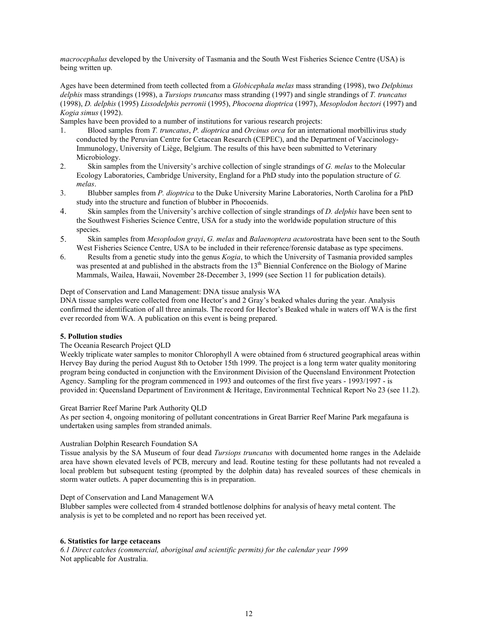*macrocephalus* developed by the University of Tasmania and the South West Fisheries Science Centre (USA) is being written up.

Ages have been determined from teeth collected from a *Globicephala melas* mass stranding (1998), two *Delphinus delphis* mass strandings (1998), a *Tursiops truncatus* mass stranding (1997) and single strandings of *T. truncatus* (1998), *D. delphis* (1995) *Lissodelphis perronii* (1995), *Phocoena dioptrica* (1997), *Mesoplodon hectori* (1997) and *Kogia simus* (1992).

Samples have been provided to a number of institutions for various research projects:

- 1. Blood samples from *T. truncatus*, *P. dioptrica* and *Orcinus orca* for an international morbillivirus study conducted by the Peruvian Centre for Cetacean Research (CEPEC), and the Department of Vaccinology-Immunology, University of Liège, Belgium. The results of this have been submitted to Veterinary Microbiology.
- 2. Skin samples from the University's archive collection of single strandings of *G. melas* to the Molecular Ecology Laboratories, Cambridge University, England for a PhD study into the population structure of *G. melas*.
- 3. Blubber samples from *P. dioptrica* to the Duke University Marine Laboratories, North Carolina for a PhD study into the structure and function of blubber in Phocoenids.
- 4. Skin samples from the University's archive collection of single strandings of *D. delphis* have been sent to the Southwest Fisheries Science Centre, USA for a study into the worldwide population structure of this species.
- 5. Skin samples from *Mesoplodon grayi*, *G. melas* and *Balaenoptera acutor*ostrata have been sent to the South West Fisheries Science Centre, USA to be included in their reference/forensic database as type specimens.
- 6. Results from a genetic study into the genus *Kogia*, to which the University of Tasmania provided samples was presented at and published in the abstracts from the 13<sup>th</sup> Biennial Conference on the Biology of Marine Mammals, Wailea, Hawaii, November 28-December 3, 1999 (see Section 11 for publication details).

#### Dept of Conservation and Land Management: DNA tissue analysis WA

DNA tissue samples were collected from one Hector's and 2 Gray's beaked whales during the year. Analysis confirmed the identification of all three animals. The record for Hector's Beaked whale in waters off WA is the first ever recorded from WA. A publication on this event is being prepared.

## **5. Pollution studies**

#### The Oceania Research Project QLD

Weekly triplicate water samples to monitor Chlorophyll A were obtained from 6 structured geographical areas within Hervey Bay during the period August 8th to October 15th 1999. The project is a long term water quality monitoring program being conducted in conjunction with the Environment Division of the Queensland Environment Protection Agency. Sampling for the program commenced in 1993 and outcomes of the first five years - 1993/1997 - is provided in: Queensland Department of Environment & Heritage, Environmental Technical Report No 23 (see 11.2).

#### Great Barrier Reef Marine Park Authority QLD

As per section 4, ongoing monitoring of pollutant concentrations in Great Barrier Reef Marine Park megafauna is undertaken using samples from stranded animals.

#### Australian Dolphin Research Foundation SA

Tissue analysis by the SA Museum of four dead *Tursiops truncatus* with documented home ranges in the Adelaide area have shown elevated levels of PCB, mercury and lead. Routine testing for these pollutants had not revealed a local problem but subsequent testing (prompted by the dolphin data) has revealed sources of these chemicals in storm water outlets. A paper documenting this is in preparation.

Dept of Conservation and Land Management WA

Blubber samples were collected from 4 stranded bottlenose dolphins for analysis of heavy metal content. The analysis is yet to be completed and no report has been received yet.

## **6. Statistics for large cetaceans**

*6.1 Direct catches (commercial, aboriginal and scientific permits) for the calendar year 1999*  Not applicable for Australia.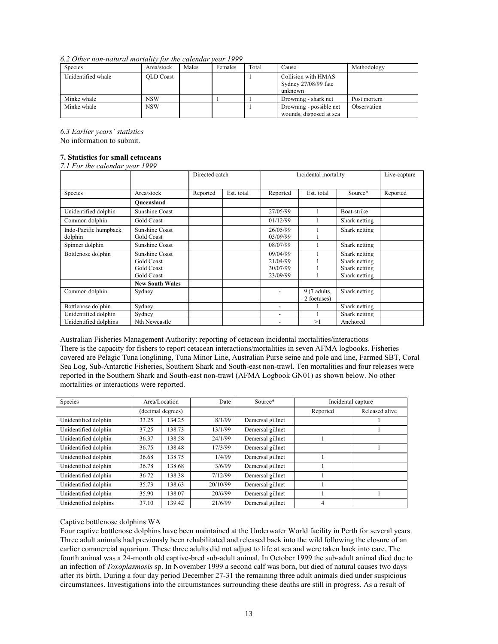*6.2 Other non-natural mortality for the calendar year 1999* 

| <b>Species</b>     | Area/stock       | Males | Females | Total | Cause                                                  | Methodology |
|--------------------|------------------|-------|---------|-------|--------------------------------------------------------|-------------|
| Unidentified whale | <b>OLD</b> Coast |       |         |       | Collision with HMAS<br>Sydney 27/08/99 fate<br>unknown |             |
| Minke whale        | <b>NSW</b>       |       |         |       | Drowning - shark net                                   | Post mortem |
| Minke whale        | <b>NSW</b>       |       |         |       | Drowning - possible net<br>wounds, disposed at sea     | Observation |

*6.3 Earlier years' statistics* 

No information to submit.

## **7. Statistics for small cetaceans**

| 7.1 For the calendar year 1999 |                        |                |            |          |                      |               |          |  |
|--------------------------------|------------------------|----------------|------------|----------|----------------------|---------------|----------|--|
|                                |                        | Directed catch |            |          | Incidental mortality |               |          |  |
|                                |                        |                |            |          |                      |               |          |  |
| Species                        | Area/stock             | Reported       | Est. total | Reported | Est. total           | Source*       | Reported |  |
|                                | Oueensland             |                |            |          |                      |               |          |  |
| Unidentified dolphin           | <b>Sunshine Coast</b>  |                |            | 27/05/99 |                      | Boat-strike   |          |  |
| Common dolphin                 | Gold Coast             |                |            | 01/12/99 |                      | Shark netting |          |  |
| Indo-Pacific humpback          | Sunshine Coast         |                |            | 26/05/99 |                      | Shark netting |          |  |
| dolphin                        | Gold Coast             |                |            | 03/09/99 |                      |               |          |  |
| Spinner dolphin                | Sunshine Coast         |                |            | 08/07/99 |                      | Shark netting |          |  |
| Bottlenose dolphin             | Sunshine Coast         |                |            | 09/04/99 |                      | Shark netting |          |  |
|                                | Gold Coast             |                |            | 21/04/99 |                      | Shark netting |          |  |
|                                | Gold Coast             |                |            | 30/07/99 |                      | Shark netting |          |  |
|                                | Gold Coast             |                |            | 23/09/99 |                      | Shark netting |          |  |
|                                | <b>New South Wales</b> |                |            |          |                      |               |          |  |
| Common dolphin                 | Sydney                 |                |            |          | $9(7$ adults,        | Shark netting |          |  |
|                                |                        |                |            |          | 2 foetuses)          |               |          |  |
| Bottlenose dolphin             | Sydney                 |                |            |          |                      | Shark netting |          |  |
| Unidentified dolphin           | Sydney                 |                |            |          |                      | Shark netting |          |  |
| Unidentified dolphins          | Nth Newcastle          |                |            |          | >1                   | Anchored      |          |  |

Australian Fisheries Management Authority: reporting of cetacean incidental mortalities/interactions There is the capacity for fishers to report cetacean interactions/mortalities in seven AFMA logbooks. Fisheries covered are Pelagic Tuna longlining, Tuna Minor Line, Australian Purse seine and pole and line, Farmed SBT, Coral Sea Log, Sub-Antarctic Fisheries, Southern Shark and South-east non-trawl. Ten mortalities and four releases were reported in the Southern Shark and South-east non-trawl (AFMA Logbook GN01) as shown below. No other mortalities or interactions were reported.

| Species               |       | Area/Location     | Date     | Source*          |          | Incidental capture |  |
|-----------------------|-------|-------------------|----------|------------------|----------|--------------------|--|
|                       |       | (decimal degrees) |          |                  | Reported | Released alive     |  |
| Unidentified dolphin  | 33.25 | 134.25            | 8/1/99   | Demersal gillnet |          |                    |  |
| Unidentified dolphin  | 37.25 | 138.73            | 13/1/99  | Demersal gillnet |          |                    |  |
| Unidentified dolphin  | 36.37 | 138.58            | 24/1/99  | Demersal gillnet |          |                    |  |
| Unidentified dolphin  | 36.75 | 138.48            | 17/3/99  | Demersal gillnet |          |                    |  |
| Unidentified dolphin  | 36.68 | 138.75            | 1/4/99   | Demersal gillnet |          |                    |  |
| Unidentified dolphin  | 36.78 | 138.68            | 3/6/99   | Demersal gillnet |          |                    |  |
| Unidentified dolphin  | 36 72 | 138.38            | 7/12/99  | Demersal gillnet |          |                    |  |
| Unidentified dolphin  | 35.73 | 138.63            | 20/10/99 | Demersal gillnet |          |                    |  |
| Unidentified dolphin  | 35.90 | 138.07            | 20/6/99  | Demersal gillnet |          |                    |  |
| Unidentified dolphins | 37.10 | 139.42            | 21/6/99  | Demersal gillnet | 4        |                    |  |

## Captive bottlenose dolphins WA

Four captive bottlenose dolphins have been maintained at the Underwater World facility in Perth for several years. Three adult animals had previously been rehabilitated and released back into the wild following the closure of an earlier commercial aquarium. These three adults did not adjust to life at sea and were taken back into care. The fourth animal was a 24-month old captive-bred sub-adult animal. In October 1999 the sub-adult animal died due to an infection of *Toxoplasmosis* sp. In November 1999 a second calf was born, but died of natural causes two days after its birth. During a four day period December 27-31 the remaining three adult animals died under suspicious circumstances. Investigations into the circumstances surrounding these deaths are still in progress. As a result of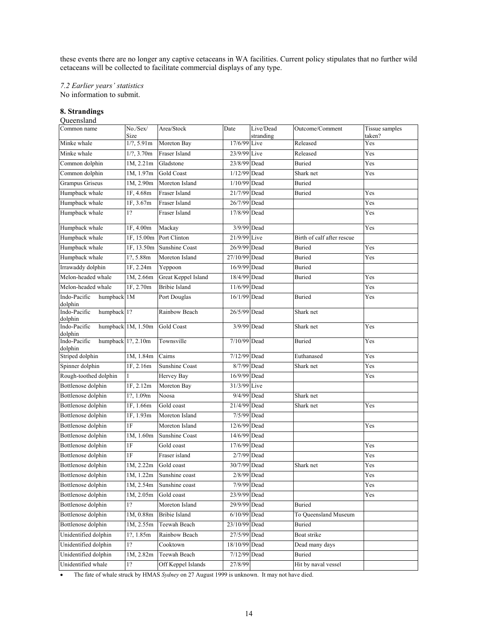these events there are no longer any captive cetaceans in WA facilities. Current policy stipulates that no further wild cetaceans will be collected to facilitate commercial displays of any type.

*7.2 Earlier years' statistics* 

No information to submit.

#### **8. Strandings**  Oueensland<sup>®</sup>

| $\ddotsc$                              |                         |                       |                |                        |                            |                          |
|----------------------------------------|-------------------------|-----------------------|----------------|------------------------|----------------------------|--------------------------|
| Common name                            | No./Sex/<br>Size        | Area/Stock            | Date           | Live/Dead<br>stranding | Outcome/Comment            | Tissue samples<br>taken? |
| Minke whale                            | 1/2, 5.91m              | Moreton Bay           | 17/6/99 Live   |                        | Released                   | Yes                      |
| Minke whale                            | 1/2, 3.70m              | Fraser Island         | 23/9/99 Live   |                        | Released                   | Yes                      |
| Common dolphin                         | 1M, 2.21m               | Gladstone             | 23/8/99 Dead   |                        | <b>Buried</b>              | Yes                      |
| Common dolphin                         | 1M, 1.97m               | Gold Coast            | 1/12/99 Dead   |                        | Shark net                  | Yes                      |
| Grampus Griseus                        | 1M, 2.90m               | Moreton Island        | 1/10/99 Dead   |                        | <b>Buried</b>              |                          |
| Humpback whale                         | 1F, 4.68m               | Fraser Island         | 21/7/99 Dead   |                        | Buried                     | Yes                      |
| Humpback whale                         | 1F, 3.67m               | Fraser Island         | 26/7/99 Dead   |                        |                            | Yes                      |
| Humpback whale                         | 1?                      | <b>Fraser Island</b>  | 17/8/99 Dead   |                        |                            | Yes                      |
| Humpback whale                         | 1F, 4.00m               | Mackay                | 3/9/99 Dead    |                        |                            | Yes                      |
| Humpback whale                         | 1F, 15.00m              | Port Clinton          | 21/9/99 Live   |                        | Birth of calf after rescue |                          |
| Humpback whale                         | 1F, 13.50m              | <b>Sunshine Coast</b> | 26/9/99 Dead   |                        | <b>Buried</b>              | Yes                      |
| Humpback whale                         | 1?, 5.88m               | Moreton Island        | 27/10/99 Dead  |                        | Buried                     | Yes                      |
| Irrawaddy dolphin                      | 1F, 2.24m               | Yeppoon               | 16/9/99 Dead   |                        | Buried                     |                          |
| Melon-headed whale                     | 1M, 2.66m               | Great Keppel Island   | 18/4/99 Dead   |                        | Buried                     | Yes                      |
| Melon-headed whale                     | 1F, 2.70m               | <b>Bribie Island</b>  | 11/6/99 Dead   |                        |                            | Yes                      |
| humpback 1M<br>Indo-Pacific<br>dolphin |                         | Port Douglas          | 16/1/99 Dead   |                        | Buried                     | Yes                      |
| Indo-Pacific<br>humpback 1?<br>dolphin |                         | Rainbow Beach         | 26/5/99 Dead   |                        | Shark net                  |                          |
| Indo-Pacific<br>dolphin                | humpback 1M, 1.50m      | Gold Coast            | 3/9/99 Dead    |                        | Shark net                  | Yes                      |
| Indo-Pacific<br>dolphin                | humpback $1$ ?, $2.10m$ | Townsville            | 7/10/99 Dead   |                        | Buried                     | Yes                      |
| Striped dolphin                        | 1M, 1.84m               | Cairns                | 7/12/99 Dead   |                        | Euthanased                 | Yes                      |
| Spinner dolphin                        | 1F, 2.16m               | <b>Sunshine Coast</b> | $8/7/99$ Dead  |                        | Shark net                  | Yes                      |
| Rough-toothed dolphin                  |                         | Hervey Bay            | 16/9/99 Dead   |                        |                            | Yes                      |
| Bottlenose dolphin                     | 1F, 2.12m               | Moreton Bay           | 31/3/99 Live   |                        |                            |                          |
| Bottlenose dolphin                     | 1?, 1.09m               | Noosa                 | 9/4/99 Dead    |                        | Shark net                  |                          |
| Bottlenose dolphin                     | 1F, 1.66m               | Gold coast            | 21/4/99 Dead   |                        | Shark net                  | Yes                      |
| Bottlenose dolphin                     | 1F, 1.93m               | Moreton Island        | 7/5/99 Dead    |                        |                            |                          |
| Bottlenose dolphin                     | 1F                      | Moreton Island        | 12/6/99 Dead   |                        |                            | Yes                      |
| Bottlenose dolphin                     | 1M, 1.60m               | <b>Sunshine Coast</b> | 14/6/99 Dead   |                        |                            |                          |
| Bottlenose dolphin                     | 1F                      | Gold coast            | 17/6/99 Dead   |                        |                            | Yes                      |
| Bottlenose dolphin                     | 1F                      | Fraser island         | 2/7/99 Dead    |                        |                            | Yes                      |
| Bottlenose dolphin                     | 1M, 2.22m               | Gold coast            | 30/7/99 Dead   |                        | Shark net                  | Yes                      |
| Bottlenose dolphin                     | 1M, 1.22m               | Sunshine coast        | 2/8/99 Dead    |                        |                            | Yes                      |
| Bottlenose dolphin                     | 1M, 2.54m               | Sunshine coast        | 7/9/99 Dead    |                        |                            | Yes                      |
| Bottlenose dolphin                     | 1M, 2.05m               | Gold coast            | 23/9/99 Dead   |                        |                            | Yes                      |
| Bottlenose dolphin                     | 1?                      | Moreton Island        | 29/9/99 Dead   |                        | Buried                     |                          |
| Bottlenose dolphin                     | 1M, 0.88m               | <b>Bribie Island</b>  | $6/10/99$ Dead |                        | To Queensland Museum       |                          |
| Bottlenose dolphin                     | 1M, 2.55m               | Teewah Beach          | 23/10/99 Dead  |                        | Buried                     |                          |
| Unidentified dolphin                   | 1?, 1.85m               | Rainbow Beach         | 27/5/99 Dead   |                        | Boat strike                |                          |
| Unidentified dolphin                   | 1?                      | Cooktown              | 18/10/99 Dead  |                        | Dead many days             |                          |
| Unidentified dolphin                   | 1M, 2.82m               | Teewah Beach          | 7/12/99 Dead   |                        | Buried                     |                          |
| Unidentified whale                     | 1?                      | Off Keppel Islands    | 27/8/99        |                        | Hit by naval vessel        |                          |

• The fate of whale struck by HMAS *Sydney* on 27 August 1999 is unknown. It may not have died.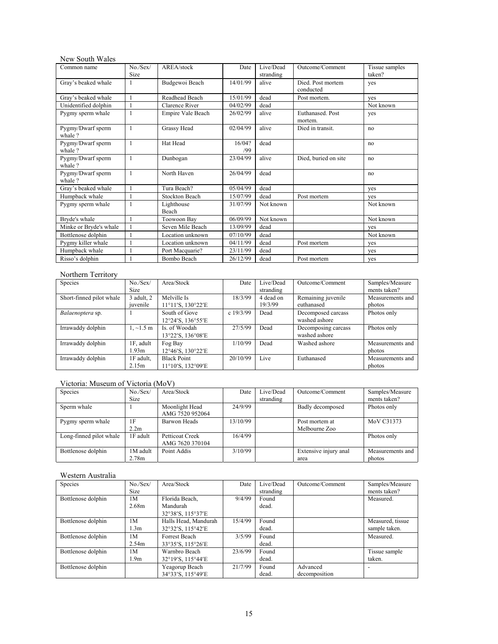# New South Wales

| Common name                 | No./Sex/     | AREA/stock          | Date          | Live/Dead | Outcome/Comment             | Tissue samples |
|-----------------------------|--------------|---------------------|---------------|-----------|-----------------------------|----------------|
|                             | Size         |                     |               | stranding |                             | taken?         |
| Gray's beaked whale         |              | Budgewoi Beach      | 14/01/99      | alive     | Died. Post mortem           | yes            |
|                             |              |                     |               |           | conducted                   |                |
| Gray's beaked whale         | $\mathbf{1}$ | Readhead Beach      | 15/01/99      | dead      | Post mortem.                | ves            |
| Unidentified dolphin        |              | Clarence River      | 04/02/99      | dead      |                             | Not known      |
| Pygmy sperm whale           |              | Empire Vale Beach   | 26/02/99      | alive     | Euthanased. Post<br>mortem. | yes            |
| Pygmy/Dwarf sperm<br>whale? | $\mathbf{1}$ | Grassy Head         | 02/04/99      | alive     | Died in transit.            | no             |
| Pygmy/Dwarf sperm<br>whale? | $\mathbf{1}$ | Hat Head            | 16/04?<br>/99 | dead      |                             | no             |
| Pygmy/Dwarf sperm<br>whale? | $\mathbf{1}$ | Dunbogan            | 23/04/99      | alive     | Died, buried on site        | no             |
| Pygmy/Dwarf sperm<br>whale? | 1            | North Haven         | 26/04/99      | dead      |                             | no             |
| Gray's beaked whale         |              | Tura Beach?         | 05/04/99      | dead      |                             | yes            |
| Humpback whale              |              | Stockton Beach      | 15/07/99      | dead      | Post mortem                 | ves            |
| Pygmy sperm whale           | $\mathbf{1}$ | Lighthouse<br>Beach | 31/07/99      | Not known |                             | Not known      |
| Bryde's whale               |              | Toowoon Bay         | 06/09/99      | Not known |                             | Not known      |
| Minke or Bryde's whale      |              | Seven Mile Beach    | 13/09/99      | dead      |                             | yes            |
| Bottlenose dolphin          |              | Location unknown    | 07/10/99      | dead      |                             | Not known      |
| Pygmy killer whale          |              | Location unknown    | 04/11/99      | dead      | Post mortem                 | yes            |
| Humpback whale              |              | Port Macquarie?     | 23/11/99      | dead      |                             | yes            |
| Risso's dolphin             |              | Bombo Beach         | 26/12/99      | dead      | Post mortem                 | yes            |

# Northern Territory

| Species                  | No./Sex/<br><b>Size</b>        | Area/Stock                              | Date        | Live/Dead<br>stranding | Outcome/Comment                      | Samples/Measure<br>ments taken? |
|--------------------------|--------------------------------|-----------------------------------------|-------------|------------------------|--------------------------------------|---------------------------------|
| Short-finned pilot whale | $3$ adult, $2$<br>juvenile     | Melville Is<br>11°11'S, 130°22'E        | 18/3/99     | 4 dead on<br>19/3/99   | Remaining juvenile<br>euthanased     | Measurements and<br>photos      |
| Balaenoptera sp.         |                                | South of Gove<br>12°24'S, 136°55'E      | c $19/3/99$ | Dead                   | Decomposed carcass<br>washed ashore  | Photos only                     |
| Irrawaddy dolphin        | $1, \sim 1.5$ m                | Is. of Woodah<br>13°22'S, 136°08'E      | 27/5/99     | Dead                   | Decomposing carcass<br>washed ashore | Photos only                     |
| Irrawaddy dolphin        | 1F, adult<br>1.93 <sub>m</sub> | Fog Bay<br>12°46'S, 130°22'E            | 1/10/99     | Dead                   | Washed ashore                        | Measurements and<br>photos      |
| Irrawaddy dolphin        | 1F adult.<br>2.15m             | <b>Black Point</b><br>11°10'S, 132°09'E | 20/10/99    | Live                   | Euthanased                           | Measurements and<br>photos      |

# Victoria: Museum of Victoria (MoV)

| Species                 | No./Sex/         | Area/Stock          | Date     | Live/Dead | Outcome/Comment       | Samples/Measure  |
|-------------------------|------------------|---------------------|----------|-----------|-----------------------|------------------|
|                         | <b>Size</b>      |                     |          | stranding |                       | ments taken?     |
| Sperm whale             |                  | Moonlight Head      | 24/9/99  |           | Badly decomposed      | Photos only      |
|                         |                  | AMG 7520 952064     |          |           |                       |                  |
| Pygmy sperm whale       | 1F               | <b>Barwon Heads</b> | 13/10/99 |           | Post mortem at        | MoV C31373       |
|                         | 2.2 <sub>m</sub> |                     |          |           | Melbourne Zoo         |                  |
| Long-finned pilot whale | 1F adult         | Petticoat Creek     | 16/4/99  |           |                       | Photos only      |
|                         |                  | AMG 7620 370104     |          |           |                       |                  |
| Bottlenose dolphin      | 1M adult         | Point Addis         | 3/10/99  |           | Extensive injury anal | Measurements and |
|                         | 2.78m            |                     |          |           | area                  | photos           |

# Western Australia

| Species            | No./Sex/    | Area/Stock           | Date    | Live/Dead | Outcome/Comment | Samples/Measure          |
|--------------------|-------------|----------------------|---------|-----------|-----------------|--------------------------|
|                    | <b>Size</b> |                      |         | stranding |                 | ments taken?             |
| Bottlenose dolphin | 1M          | Florida Beach,       | 9/4/99  | Found     |                 | Measured.                |
|                    | 2.68m       | Mandurah             |         | dead.     |                 |                          |
|                    |             | 32°38'S, 115°37'E    |         |           |                 |                          |
| Bottlenose dolphin | 1M          | Halls Head, Mandurah | 15/4/99 | Found     |                 | Measured, tissue         |
|                    | 1.3m        | 32°32'S, 115°42'E    |         | dead.     |                 | sample taken.            |
| Bottlenose dolphin | 1M          | Forrest Beach        | 3/5/99  | Found     |                 | Measured.                |
|                    | 2.54m       | 33°35'S, 115°26'E    |         | dead.     |                 |                          |
| Bottlenose dolphin | 1M          | Warnbro Beach        | 23/6/99 | Found     |                 | Tissue sample            |
|                    | 1.9m        | 32°19'S, 115°44'E    |         | dead.     |                 | taken.                   |
| Bottlenose dolphin |             | Yeagorup Beach       | 21/7/99 | Found     | Advanced        | $\overline{\phantom{0}}$ |
|                    |             | 34°33'S, 115°49'E    |         | dead.     | decomposition   |                          |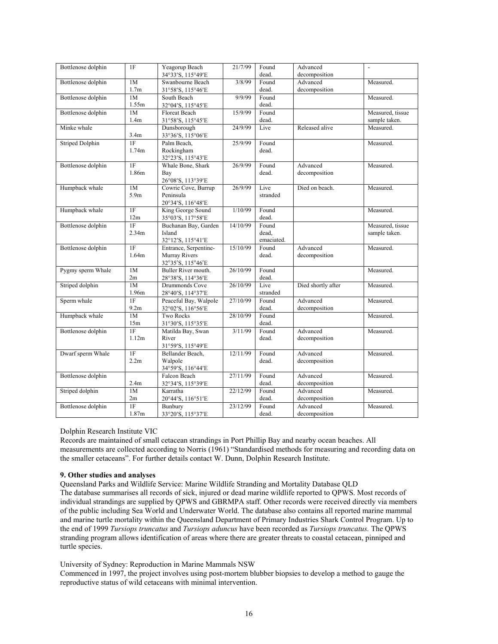| Bottlenose dolphin                | 1F                | Yeagorup Beach<br>34°33'S, 115°49'E | 21/7/99  | Found<br>dead. | Advanced<br>decomposition | $\overline{a}$   |
|-----------------------------------|-------------------|-------------------------------------|----------|----------------|---------------------------|------------------|
| Bottlenose dolphin                | 1M                | Swanbourne Beach                    | 3/8/99   | Found          | Advanced                  | Measured.        |
| 1.7 <sub>m</sub>                  |                   | 31°58'S, 115°46'E                   |          | dead.          | decomposition             |                  |
| Bottlenose dolphin<br>1M<br>1.55m |                   | South Beach                         | 9/9/99   | Found          |                           | Measured.        |
|                                   |                   | 32°04'S, 115°45'E                   |          | dead.          |                           |                  |
| Bottlenose dolphin                | 1M                | <b>Floreat Beach</b>                | 15/9/99  | Found          |                           | Measured, tissue |
|                                   | 1.4m              | 31°58'S, 115°45'E                   |          | dead.          |                           | sample taken.    |
| Minke whale                       | 3.4 <sub>m</sub>  | Dunsborough<br>33°36'S, 115°06'E    | 24/9/99  | Live           | Released alive            | Measured.        |
| <b>Striped Dolphin</b>            | 1F                | Palm Beach,                         | 25/9/99  | Found          |                           | Measured.        |
|                                   | 1.74m             | Rockingham<br>32°23'S, 115°43'E     |          | dead.          |                           |                  |
| Bottlenose dolphin                | 1F                | Whale Bone, Shark                   | 26/9/99  | Found          | Advanced                  | Measured.        |
|                                   | 1.86m             | Bay                                 |          | dead.          | decomposition             |                  |
|                                   |                   | 26°08'S, 113°39'E                   |          |                |                           |                  |
| Humpback whale                    | 1M                | Cowrie Cove, Burrup                 | 26/9/99  | Live           | Died on beach.            | Measured.        |
|                                   | 5.9 <sub>m</sub>  | Peninsula                           |          | stranded       |                           |                  |
|                                   |                   | 20°34'S, 116°48'E                   |          |                |                           |                  |
| Humpback whale                    | 1F                | King George Sound                   | 1/10/99  | Found          |                           | Measured.        |
|                                   | 12m               | 35°03'S, 117°58'E                   |          | dead.          |                           |                  |
| Bottlenose dolphin                | 1F                | Buchanan Bay, Garden                | 14/10/99 | Found          |                           | Measured, tissue |
|                                   | 2.34 <sub>m</sub> | Island                              |          | dead,          |                           | sample taken.    |
|                                   |                   | 32°12'S, 115°41'E                   |          | emaciated.     |                           |                  |
| Bottlenose dolphin                | 1F                | Entrance, Serpentine-               | 15/10/99 | Found          | Advanced                  | Measured.        |
|                                   | 1.64m             | Murray Rivers                       |          | dead.          | decomposition             |                  |
|                                   |                   | 32°35'S, 115°46'E                   |          |                |                           |                  |
| Pygmy sperm Whale                 | 1M                | Buller River mouth.                 | 26/10/99 | Found          |                           | Measured.        |
|                                   | 2m                | 28°38'S, 114°36'E                   |          | dead.          |                           |                  |
| Striped dolphin                   | 1M                | Drummonds Cove                      | 26/10/99 | Live           | Died shortly after        | Measured.        |
|                                   | 1.96m             | 28°40'S, 114°37'E                   |          | stranded       |                           |                  |
| Sperm whale                       | $\overline{1}$ F  | Peaceful Bay, Walpole               | 27/10/99 | Found          | Advanced                  | Measured.        |
|                                   | 9.2m              | 32°02'S, 116°56'E                   |          | dead.          | decomposition             |                  |
| Humpback whale                    | 1M                | <b>Two Rocks</b>                    | 28/10/99 | Found          |                           | Measured.        |
|                                   | 15m               | 31°30'S, 115°35'E                   |          | dead.          |                           |                  |
| Bottlenose dolphin                | 1F                | Matilda Bay, Swan                   | 3/11/99  | Found          | Advanced                  | Measured.        |
|                                   | 1.12m             | River                               |          | dead.          | decomposition             |                  |
|                                   |                   | 31°59'S, 115°49'E                   |          |                |                           |                  |
| Dwarf sperm Whale                 | 1F                | Bellander Beach,                    | 12/11/99 | Found          | Advanced                  | Measured.        |
|                                   | 2.2m              | Walpole                             |          | dead.          | decomposition             |                  |
|                                   |                   | 34°59'S, 116°44'E                   |          |                |                           |                  |
| Bottlenose dolphin                |                   | Falcon Beach                        | 27/11/99 | Found          | Advanced                  | Measured.        |
|                                   | 2.4 <sub>m</sub>  | 32°34'S, 115°39'E                   |          | dead.          | decomposition             |                  |
| Striped dolphin                   | 1M                | Karratha                            | 22/12/99 | Found          | Advanced                  | Measured.        |
|                                   | 2m                |                                     |          | dead.          | decomposition             |                  |
|                                   |                   | 20°44'S, 116°51'E                   |          |                | Advanced                  |                  |
| Bottlenose dolphin                | 1F                | Bunbury                             | 23/12/99 | Found          |                           | Measured.        |
|                                   | 1.87m             | 33°20'S, 115°37'E                   |          | dead.          | decomposition             |                  |

## Dolphin Research Institute VIC

Records are maintained of small cetacean strandings in Port Phillip Bay and nearby ocean beaches. All measurements are collected according to Norris (1961) "Standardised methods for measuring and recording data on the smaller cetaceans". For further details contact W. Dunn, Dolphin Research Institute.

# **9. Other studies and analyses**

Queensland Parks and Wildlife Service: Marine Wildlife Stranding and Mortality Database QLD The database summarises all records of sick, injured or dead marine wildlife reported to QPWS. Most records of individual strandings are supplied by QPWS and GBRMPA staff. Other records were received directly via members of the public including Sea World and Underwater World. The database also contains all reported marine mammal and marine turtle mortality within the Queensland Department of Primary Industries Shark Control Program. Up to the end of 1999 *Tursiops truncatus* and *Tursiops aduncus* have been recorded as *Tursiops truncatus.* The QPWS stranding program allows identification of areas where there are greater threats to coastal cetacean, pinniped and turtle species.

University of Sydney: Reproduction in Marine Mammals NSW

Commenced in 1997, the project involves using post-mortem blubber biopsies to develop a method to gauge the reproductive status of wild cetaceans with minimal intervention.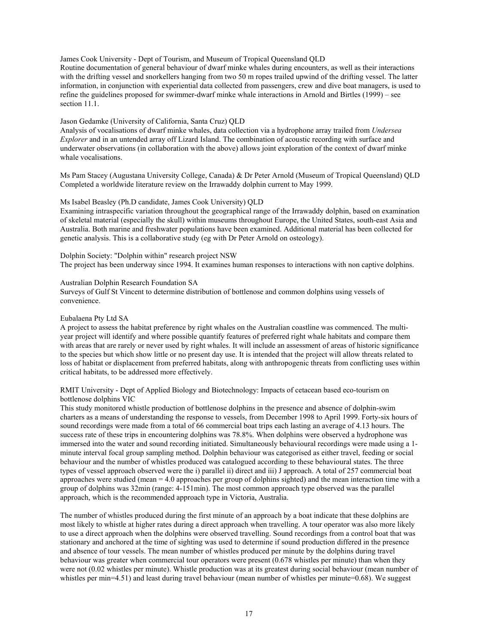James Cook University - Dept of Tourism, and Museum of Tropical Queensland QLD Routine documentation of general behaviour of dwarf minke whales during encounters, as well as their interactions with the drifting vessel and snorkellers hanging from two 50 m ropes trailed upwind of the drifting vessel. The latter information, in conjunction with experiential data collected from passengers, crew and dive boat managers, is used to refine the guidelines proposed for swimmer-dwarf minke whale interactions in Arnold and Birtles (1999) – see section 11.1.

## Jason Gedamke (University of California, Santa Cruz) QLD

Analysis of vocalisations of dwarf minke whales, data collection via a hydrophone array trailed from *Undersea Explorer* and in an untended array off Lizard Island. The combination of acoustic recording with surface and underwater observations (in collaboration with the above) allows joint exploration of the context of dwarf minke whale vocalisations.

Ms Pam Stacey (Augustana University College, Canada) & Dr Peter Arnold (Museum of Tropical Queensland) QLD Completed a worldwide literature review on the Irrawaddy dolphin current to May 1999.

## Ms Isabel Beasley (Ph.D candidate, James Cook University) QLD

Examining intraspecific variation throughout the geographical range of the Irrawaddy dolphin, based on examination of skeletal material (especially the skull) within museums throughout Europe, the United States, south-east Asia and Australia. Both marine and freshwater populations have been examined. Additional material has been collected for genetic analysis. This is a collaborative study (eg with Dr Peter Arnold on osteology).

Dolphin Society: "Dolphin within" research project NSW The project has been underway since 1994. It examines human responses to interactions with non captive dolphins.

#### Australian Dolphin Research Foundation SA

Surveys of Gulf St Vincent to determine distribution of bottlenose and common dolphins using vessels of convenience.

## Eubalaena Pty Ltd SA

A project to assess the habitat preference by right whales on the Australian coastline was commenced. The multiyear project will identify and where possible quantify features of preferred right whale habitats and compare them with areas that are rarely or never used by right whales. It will include an assessment of areas of historic significance to the species but which show little or no present day use. It is intended that the project will allow threats related to loss of habitat or displacement from preferred habitats, along with anthropogenic threats from conflicting uses within critical habitats, to be addressed more effectively.

RMIT University - Dept of Applied Biology and Biotechnology: Impacts of cetacean based eco-tourism on bottlenose dolphins VIC

This study monitored whistle production of bottlenose dolphins in the presence and absence of dolphin-swim charters as a means of understanding the response to vessels, from December 1998 to April 1999. Forty-six hours of sound recordings were made from a total of 66 commercial boat trips each lasting an average of 4.13 hours. The success rate of these trips in encountering dolphins was 78.8%. When dolphins were observed a hydrophone was immersed into the water and sound recording initiated. Simultaneously behavioural recordings were made using a 1 minute interval focal group sampling method. Dolphin behaviour was categorised as either travel, feeding or social behaviour and the number of whistles produced was catalogued according to these behavioural states. The three types of vessel approach observed were the i) parallel ii) direct and iii) J approach. A total of 257 commercial boat approaches were studied (mean = 4.0 approaches per group of dolphins sighted) and the mean interaction time with a group of dolphins was 32min (range: 4-151min). The most common approach type observed was the parallel approach, which is the recommended approach type in Victoria, Australia.

The number of whistles produced during the first minute of an approach by a boat indicate that these dolphins are most likely to whistle at higher rates during a direct approach when travelling. A tour operator was also more likely to use a direct approach when the dolphins were observed travelling. Sound recordings from a control boat that was stationary and anchored at the time of sighting was used to determine if sound production differed in the presence and absence of tour vessels. The mean number of whistles produced per minute by the dolphins during travel behaviour was greater when commercial tour operators were present (0.678 whistles per minute) than when they were not (0.02 whistles per minute). Whistle production was at its greatest during social behaviour (mean number of whistles per min=4.51) and least during travel behaviour (mean number of whistles per minute=0.68). We suggest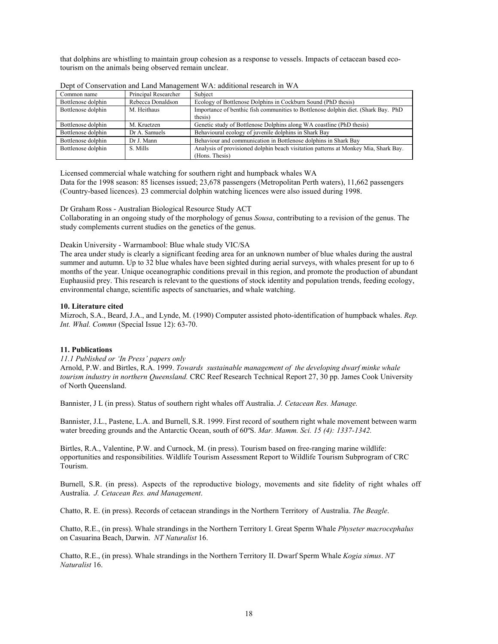that dolphins are whistling to maintain group cohesion as a response to vessels. Impacts of cetacean based ecotourism on the animals being observed remain unclear.

| Common name        | Principal Researcher | Subject                                                                             |
|--------------------|----------------------|-------------------------------------------------------------------------------------|
| Bottlenose dolphin | Rebecca Donaldson    | Ecology of Bottlenose Dolphins in Cockburn Sound (PhD thesis)                       |
| Bottlenose dolphin | M. Heithaus          | Importance of benthic fish communities to Bottlenose dolphin diet. (Shark Bay, PhD  |
|                    |                      | thesis)                                                                             |
| Bottlenose dolphin | M. Kruetzen          | Genetic study of Bottlenose Dolphins along WA coastline (PhD thesis)                |
| Bottlenose dolphin | Dr A. Samuels        | Behavioural ecology of juvenile dolphins in Shark Bay                               |
| Bottlenose dolphin | Dr J. Mann           | Behaviour and communication in Bottlenose dolphins in Shark Bay                     |
| Bottlenose dolphin | S. Mills             | Analysis of provisioned dolphin beach visitation patterns at Monkey Mia, Shark Bay. |
|                    |                      | (Hons. Thesis)                                                                      |

Dept of Conservation and Land Management WA: additional research in WA

Licensed commercial whale watching for southern right and humpback whales WA

Data for the 1998 season: 85 licenses issued; 23,678 passengers (Metropolitan Perth waters), 11,662 passengers (Country-based licences). 23 commercial dolphin watching licences were also issued during 1998.

Dr Graham Ross - Australian Biological Resource Study ACT

Collaborating in an ongoing study of the morphology of genus *Sousa*, contributing to a revision of the genus. The study complements current studies on the genetics of the genus.

#### Deakin University - Warrnambool: Blue whale study VIC/SA

The area under study is clearly a significant feeding area for an unknown number of blue whales during the austral summer and autumn. Up to 32 blue whales have been sighted during aerial surveys, with whales present for up to 6 months of the year. Unique oceanographic conditions prevail in this region, and promote the production of abundant Euphausiid prey. This research is relevant to the questions of stock identity and population trends, feeding ecology, environmental change, scientific aspects of sanctuaries, and whale watching.

#### **10. Literature cited**

Mizroch, S.A., Beard, J.A., and Lynde, M. (1990) Computer assisted photo-identification of humpback whales. *Rep. Int. Whal. Commn* (Special Issue 12): 63-70.

## **11. Publications**

*11.1 Published or 'In Press' papers only* 

Arnold, P.W. and Birtles, R.A. 1999. *Towards sustainable management of the developing dwarf minke whale tourism industry in northern Queensland.* CRC Reef Research Technical Report 27, 30 pp. James Cook University of North Queensland.

Bannister, J L (in press). Status of southern right whales off Australia. *J. Cetacean Res. Manage.*

Bannister, J.L., Pastene, L.A. and Burnell, S.R. 1999. First record of southern right whale movement between warm water breeding grounds and the Antarctic Ocean, south of 60ºS. *Mar. Mamm. Sci. 15 (4): 1337-1342.*

Birtles, R.A., Valentine, P.W. and Curnock, M. (in press). Tourism based on free-ranging marine wildlife: opportunities and responsibilities. Wildlife Tourism Assessment Report to Wildlife Tourism Subprogram of CRC Tourism.

Burnell, S.R. (in press). Aspects of the reproductive biology, movements and site fidelity of right whales off Australia. *J. Cetacean Res. and Management*.

Chatto, R. E. (in press). Records of cetacean strandings in the Northern Territory of Australia. *The Beagle*.

Chatto, R.E., (in press). Whale strandings in the Northern Territory I. Great Sperm Whale *Physeter macrocephalus* on Casuarina Beach, Darwin. *NT Naturalist* 16.

Chatto, R.E., (in press). Whale strandings in the Northern Territory II. Dwarf Sperm Whale *Kogia simus*. *NT Naturalist* 16.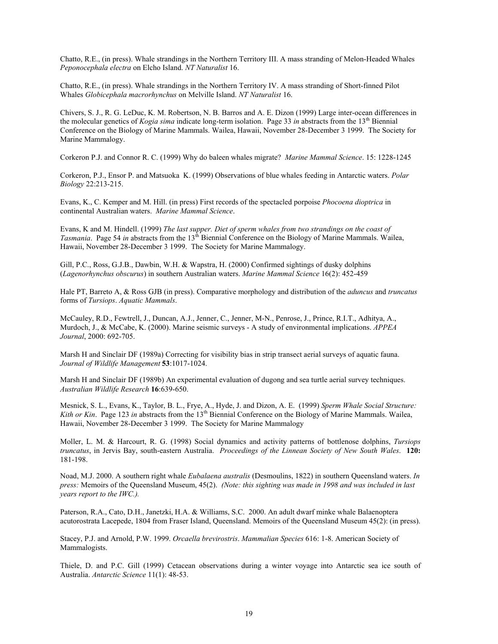Chatto, R.E., (in press). Whale strandings in the Northern Territory III. A mass stranding of Melon-Headed Whales *Peponocephala electra* on Elcho Island. *NT Naturalist* 16.

Chatto, R.E., (in press). Whale strandings in the Northern Territory IV. A mass stranding of Short-finned Pilot Whales *Globicephala macrorhynchus* on Melville Island. *NT Naturalist* 16.

Chivers, S. J., R. G. LeDuc, K. M. Robertson, N. B. Barros and A. E. Dizon (1999) Large inter-ocean differences in the molecular genetics of *Kogia sima* indicate long-term isolation. Page 33 *in* abstracts from the 13th Biennial Conference on the Biology of Marine Mammals. Wailea, Hawaii, November 28-December 3 1999. The Society for Marine Mammalogy.

Corkeron P.J. and Connor R. C. (1999) Why do baleen whales migrate? *Marine Mammal Science*. 15: 1228-1245

Corkeron, P.J., Ensor P. and Matsuoka K. (1999) Observations of blue whales feeding in Antarctic waters. *Polar Biology* 22:213-215.

Evans, K., C. Kemper and M. Hill. (in press) First records of the spectacled porpoise *Phocoena dioptrica* in continental Australian waters. *Marine Mammal Science*.

Evans, K and M. Hindell. (1999) *The last supper. Diet of sperm whales from two strandings on the coast of Tasmania*. Page 54 *in* abstracts from the 13<sup>th</sup> Biennial Conference on the Biology of Marine Mammals. Wailea, Hawaii, November 28-December 3 1999. The Society for Marine Mammalogy.

Gill, P.C., Ross, G.J.B., Dawbin, W.H. & Wapstra, H. (2000) Confirmed sightings of dusky dolphins (*Lagenorhynchus obscurus*) in southern Australian waters. *Marine Mammal Science* 16(2): 452-459

Hale PT, Barreto A, & Ross GJB (in press). Comparative morphology and distribution of the *aduncus* and *truncatus* forms of *Tursiops*. *Aquatic Mammals*.

McCauley, R.D., Fewtrell, J., Duncan, A.J., Jenner, C., Jenner, M-N., Penrose, J., Prince, R.I.T., Adhitya, A., Murdoch, J., & McCabe, K. (2000). Marine seismic surveys - A study of environmental implications. *APPEA Journal*, 2000: 692-705.

Marsh H and Sinclair DF (1989a) Correcting for visibility bias in strip transect aerial surveys of aquatic fauna. *Journal of Wildlife Management* **53**:1017-1024.

Marsh H and Sinclair DF (1989b) An experimental evaluation of dugong and sea turtle aerial survey techniques. *Australian Wildlife Research* **16**:639-650.

Mesnick, S. L., Evans, K., Taylor, B. L., Frye, A., Hyde, J. and Dizon, A. E. (1999) *Sperm Whale Social Structure: Kith or Kin.* Page 123 *in* abstracts from the 13<sup>th</sup> Biennial Conference on the Biology of Marine Mammals. Wailea, Hawaii, November 28-December 3 1999. The Society for Marine Mammalogy

Moller, L. M. & Harcourt, R. G. (1998) Social dynamics and activity patterns of bottlenose dolphins, *Tursiops truncatus*, in Jervis Bay, south-eastern Australia. *Proceedings of the Linnean Society of New South Wales*. **120:** 181-198.

Noad, M.J. 2000. A southern right whale *Eubalaena australis* (Desmoulins, 1822) in southern Queensland waters. *In press:* Memoirs of the Queensland Museum, 45(2). *(Note: this sighting was made in 1998 and was included in last years report to the IWC.).* 

Paterson, R.A., Cato, D.H., Janetzki, H.A. & Williams, S.C. 2000. An adult dwarf minke whale Balaenoptera acutorostrata Lacepede, 1804 from Fraser Island, Queensland. Memoirs of the Queensland Museum 45(2): (in press).

Stacey, P.J. and Arnold, P.W. 1999. *Orcaella brevirostris*. *Mammalian Species* 616: 1-8. American Society of Mammalogists.

Thiele, D. and P.C. Gill (1999) Cetacean observations during a winter voyage into Antarctic sea ice south of Australia. *Antarctic Science* 11(1): 48-53.